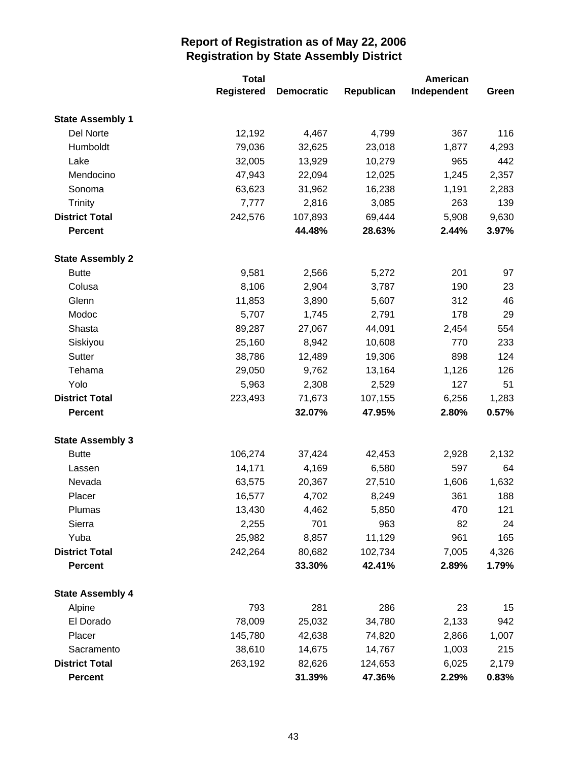|                         | <b>Total</b>      |                   | American   |             |       |
|-------------------------|-------------------|-------------------|------------|-------------|-------|
|                         | <b>Registered</b> | <b>Democratic</b> | Republican | Independent | Green |
| <b>State Assembly 1</b> |                   |                   |            |             |       |
| Del Norte               | 12,192            | 4,467             | 4,799      | 367         | 116   |
| Humboldt                | 79,036            | 32,625            | 23,018     | 1,877       | 4,293 |
| Lake                    | 32,005            | 13,929            | 10,279     | 965         | 442   |
| Mendocino               | 47,943            | 22,094            | 12,025     | 1,245       | 2,357 |
| Sonoma                  | 63,623            | 31,962            | 16,238     | 1,191       | 2,283 |
| <b>Trinity</b>          | 7,777             | 2,816             | 3,085      | 263         | 139   |
| <b>District Total</b>   | 242,576           | 107,893           | 69,444     | 5,908       | 9,630 |
| <b>Percent</b>          |                   | 44.48%            | 28.63%     | 2.44%       | 3.97% |
| <b>State Assembly 2</b> |                   |                   |            |             |       |
| <b>Butte</b>            | 9,581             | 2,566             | 5,272      | 201         | 97    |
| Colusa                  | 8,106             | 2,904             | 3,787      | 190         | 23    |
| Glenn                   | 11,853            | 3,890             | 5,607      | 312         | 46    |
| Modoc                   | 5,707             | 1,745             | 2,791      | 178         | 29    |
| Shasta                  | 89,287            | 27,067            | 44,091     | 2,454       | 554   |
| Siskiyou                | 25,160            | 8,942             | 10,608     | 770         | 233   |
| <b>Sutter</b>           | 38,786            | 12,489            | 19,306     | 898         | 124   |
| Tehama                  | 29,050            | 9,762             | 13,164     | 1,126       | 126   |
| Yolo                    | 5,963             | 2,308             | 2,529      | 127         | 51    |
| <b>District Total</b>   | 223,493           | 71,673            | 107,155    | 6,256       | 1,283 |
| <b>Percent</b>          |                   | 32.07%            | 47.95%     | 2.80%       | 0.57% |
| <b>State Assembly 3</b> |                   |                   |            |             |       |
| <b>Butte</b>            | 106,274           | 37,424            | 42,453     | 2,928       | 2,132 |
| Lassen                  | 14,171            | 4,169             | 6,580      | 597         | 64    |
| Nevada                  | 63,575            | 20,367            | 27,510     | 1,606       | 1,632 |
| Placer                  | 16,577            | 4,702             | 8,249      | 361         | 188   |
| Plumas                  | 13,430            | 4,462             | 5,850      | 470         | 121   |
| Sierra                  | 2,255             | 701               | 963        | 82          | 24    |
| Yuba                    | 25,982            | 8,857             | 11,129     | 961         | 165   |
| <b>District Total</b>   | 242,264           | 80,682            | 102,734    | 7,005       | 4,326 |
| <b>Percent</b>          |                   | 33.30%            | 42.41%     | 2.89%       | 1.79% |
| <b>State Assembly 4</b> |                   |                   |            |             |       |
| Alpine                  | 793               | 281               | 286        | 23          | 15    |
| El Dorado               | 78,009            | 25,032            | 34,780     | 2,133       | 942   |
| Placer                  | 145,780           | 42,638            | 74,820     | 2,866       | 1,007 |
| Sacramento              | 38,610            | 14,675            | 14,767     | 1,003       | 215   |
| <b>District Total</b>   | 263,192           | 82,626            | 124,653    | 6,025       | 2,179 |
| <b>Percent</b>          |                   | 31.39%            | 47.36%     | 2.29%       | 0.83% |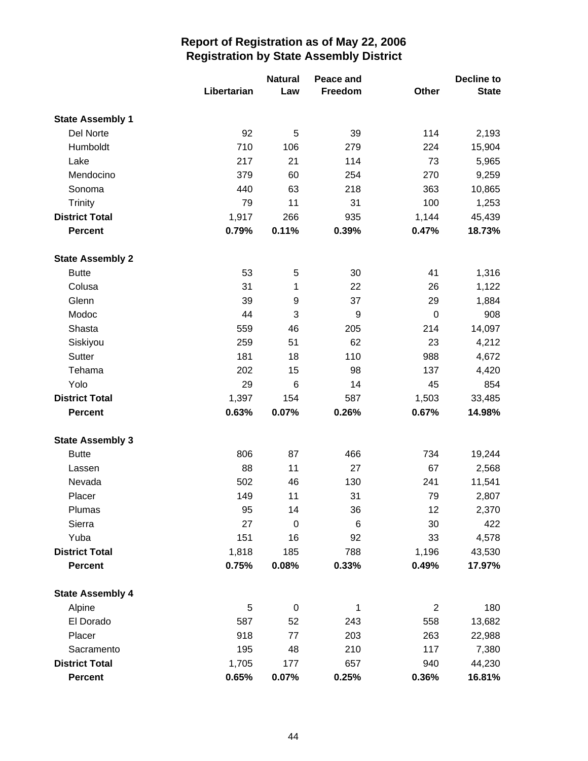|                         |             | <b>Natural</b><br>Peace and |         |                | Decline to   |  |
|-------------------------|-------------|-----------------------------|---------|----------------|--------------|--|
|                         | Libertarian | Law                         | Freedom | Other          | <b>State</b> |  |
| <b>State Assembly 1</b> |             |                             |         |                |              |  |
| Del Norte               | 92          | 5                           | 39      | 114            | 2,193        |  |
| Humboldt                | 710         | 106                         | 279     | 224            | 15,904       |  |
| Lake                    | 217         | 21                          | 114     | 73             | 5,965        |  |
| Mendocino               | 379         | 60                          | 254     | 270            | 9,259        |  |
| Sonoma                  | 440         | 63                          | 218     | 363            | 10,865       |  |
| Trinity                 | 79          | 11                          | 31      | 100            | 1,253        |  |
| <b>District Total</b>   | 1,917       | 266                         | 935     | 1,144          | 45,439       |  |
| <b>Percent</b>          | 0.79%       | 0.11%                       | 0.39%   | 0.47%          | 18.73%       |  |
| <b>State Assembly 2</b> |             |                             |         |                |              |  |
| <b>Butte</b>            | 53          | $\,$ 5 $\,$                 | 30      | 41             | 1,316        |  |
| Colusa                  | 31          | 1                           | 22      | 26             | 1,122        |  |
| Glenn                   | 39          | 9                           | 37      | 29             | 1,884        |  |
| Modoc                   | 44          | 3                           | 9       | $\mathbf 0$    | 908          |  |
| Shasta                  | 559         | 46                          | 205     | 214            | 14,097       |  |
| Siskiyou                | 259         | 51                          | 62      | 23             | 4,212        |  |
| <b>Sutter</b>           | 181         | 18                          | 110     | 988            | 4,672        |  |
| Tehama                  | 202         | 15                          | 98      | 137            | 4,420        |  |
| Yolo                    | 29          | 6                           | 14      | 45             | 854          |  |
| <b>District Total</b>   | 1,397       | 154                         | 587     | 1,503          | 33,485       |  |
| <b>Percent</b>          | 0.63%       | 0.07%                       | 0.26%   | 0.67%          | 14.98%       |  |
| <b>State Assembly 3</b> |             |                             |         |                |              |  |
| <b>Butte</b>            | 806         | 87                          | 466     | 734            | 19,244       |  |
| Lassen                  | 88          | 11                          | 27      | 67             | 2,568        |  |
| Nevada                  | 502         | 46                          | 130     | 241            | 11,541       |  |
| Placer                  | 149         | 11                          | 31      | 79             | 2,807        |  |
| Plumas                  | 95          | 14                          | 36      | 12             | 2,370        |  |
| Sierra                  | 27          | $\mathbf 0$                 | $\,6$   | 30             | 422          |  |
| Yuba                    | 151         | 16                          | 92      | 33             | 4,578        |  |
| <b>District Total</b>   | 1,818       | 185                         | 788     | 1,196          | 43,530       |  |
| <b>Percent</b>          | 0.75%       | 0.08%                       | 0.33%   | 0.49%          | 17.97%       |  |
| <b>State Assembly 4</b> |             |                             |         |                |              |  |
| Alpine                  | 5           | $\mathbf 0$                 | 1       | $\overline{2}$ | 180          |  |
| El Dorado               | 587         | 52                          | 243     | 558            | 13,682       |  |
| Placer                  | 918         | 77                          | 203     | 263            | 22,988       |  |
| Sacramento              | 195         | 48                          | 210     | 117            | 7,380        |  |
| <b>District Total</b>   | 1,705       | 177                         | 657     | 940            | 44,230       |  |
| Percent                 | 0.65%       | 0.07%                       | 0.25%   | 0.36%          | 16.81%       |  |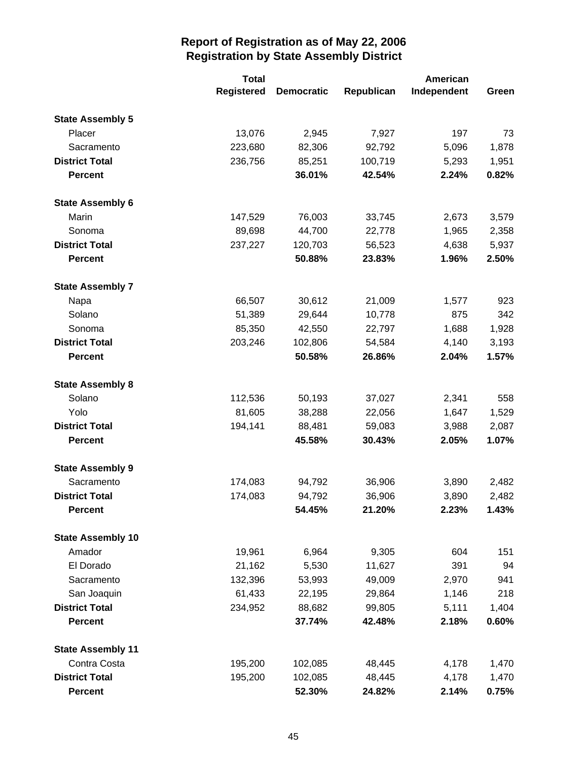|                          | <b>Total</b>      |                   | American   |             |       |
|--------------------------|-------------------|-------------------|------------|-------------|-------|
|                          | <b>Registered</b> | <b>Democratic</b> | Republican | Independent | Green |
| <b>State Assembly 5</b>  |                   |                   |            |             |       |
| Placer                   | 13,076            | 2,945             | 7,927      | 197         | 73    |
| Sacramento               | 223,680           | 82,306            | 92,792     | 5,096       | 1,878 |
| <b>District Total</b>    | 236,756           | 85,251            | 100,719    | 5,293       | 1,951 |
| <b>Percent</b>           |                   | 36.01%            | 42.54%     | 2.24%       | 0.82% |
| <b>State Assembly 6</b>  |                   |                   |            |             |       |
| Marin                    | 147,529           | 76,003            | 33,745     | 2,673       | 3,579 |
| Sonoma                   | 89,698            | 44,700            | 22,778     | 1,965       | 2,358 |
| <b>District Total</b>    | 237,227           | 120,703           | 56,523     | 4,638       | 5,937 |
| <b>Percent</b>           |                   | 50.88%            | 23.83%     | 1.96%       | 2.50% |
| <b>State Assembly 7</b>  |                   |                   |            |             |       |
| Napa                     | 66,507            | 30,612            | 21,009     | 1,577       | 923   |
| Solano                   | 51,389            | 29,644            | 10,778     | 875         | 342   |
| Sonoma                   | 85,350            | 42,550            | 22,797     | 1,688       | 1,928 |
| <b>District Total</b>    | 203,246           | 102,806           | 54,584     | 4,140       | 3,193 |
| <b>Percent</b>           |                   | 50.58%            | 26.86%     | 2.04%       | 1.57% |
| <b>State Assembly 8</b>  |                   |                   |            |             |       |
| Solano                   | 112,536           | 50,193            | 37,027     | 2,341       | 558   |
| Yolo                     | 81,605            | 38,288            | 22,056     | 1,647       | 1,529 |
| <b>District Total</b>    | 194,141           | 88,481            | 59,083     | 3,988       | 2,087 |
| <b>Percent</b>           |                   | 45.58%            | 30.43%     | 2.05%       | 1.07% |
| <b>State Assembly 9</b>  |                   |                   |            |             |       |
| Sacramento               | 174,083           | 94,792            | 36,906     | 3,890       | 2,482 |
| <b>District Total</b>    | 174,083           | 94,792            | 36,906     | 3,890       | 2,482 |
| <b>Percent</b>           |                   | 54.45%            | 21.20%     | 2.23%       | 1.43% |
| <b>State Assembly 10</b> |                   |                   |            |             |       |
| Amador                   | 19,961            | 6,964             | 9,305      | 604         | 151   |
| El Dorado                | 21,162            | 5,530             | 11,627     | 391         | 94    |
| Sacramento               | 132,396           | 53,993            | 49,009     | 2,970       | 941   |
| San Joaquin              | 61,433            | 22,195            | 29,864     | 1,146       | 218   |
| <b>District Total</b>    | 234,952           | 88,682            | 99,805     | 5,111       | 1,404 |
| <b>Percent</b>           |                   | 37.74%            | 42.48%     | 2.18%       | 0.60% |
| <b>State Assembly 11</b> |                   |                   |            |             |       |
| Contra Costa             | 195,200           | 102,085           | 48,445     | 4,178       | 1,470 |
| <b>District Total</b>    | 195,200           | 102,085           | 48,445     | 4,178       | 1,470 |
| Percent                  |                   | 52.30%            | 24.82%     | 2.14%       | 0.75% |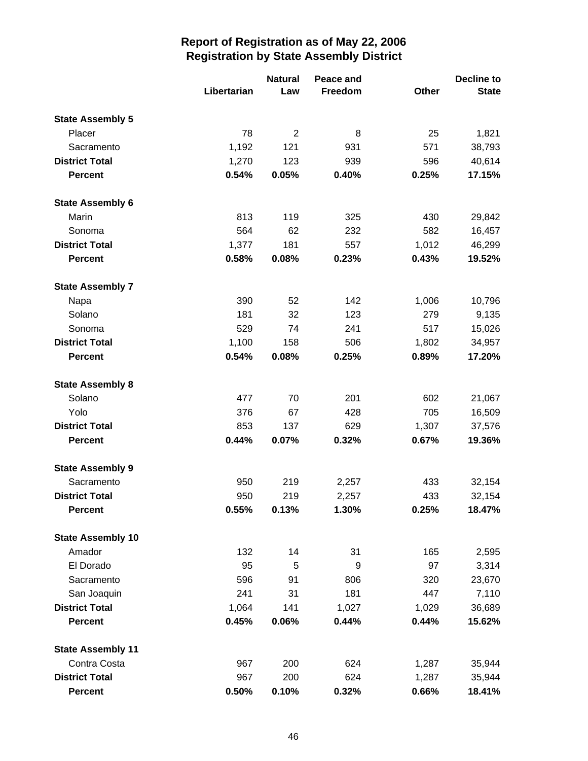|                          |             | <b>Natural</b> | Peace and |       | Decline to   |
|--------------------------|-------------|----------------|-----------|-------|--------------|
|                          | Libertarian | Law            | Freedom   | Other | <b>State</b> |
| <b>State Assembly 5</b>  |             |                |           |       |              |
| Placer                   | 78          | $\overline{2}$ | 8         | 25    | 1,821        |
| Sacramento               | 1,192       | 121            | 931       | 571   | 38,793       |
| <b>District Total</b>    | 1,270       | 123            | 939       | 596   | 40,614       |
| <b>Percent</b>           | 0.54%       | 0.05%          | 0.40%     | 0.25% | 17.15%       |
| <b>State Assembly 6</b>  |             |                |           |       |              |
| Marin                    | 813         | 119            | 325       | 430   | 29,842       |
| Sonoma                   | 564         | 62             | 232       | 582   | 16,457       |
| <b>District Total</b>    | 1,377       | 181            | 557       | 1,012 | 46,299       |
| <b>Percent</b>           | 0.58%       | 0.08%          | 0.23%     | 0.43% | 19.52%       |
| <b>State Assembly 7</b>  |             |                |           |       |              |
| Napa                     | 390         | 52             | 142       | 1,006 | 10,796       |
| Solano                   | 181         | 32             | 123       | 279   | 9,135        |
| Sonoma                   | 529         | 74             | 241       | 517   | 15,026       |
| <b>District Total</b>    | 1,100       | 158            | 506       | 1,802 | 34,957       |
| <b>Percent</b>           | 0.54%       | 0.08%          | 0.25%     | 0.89% | 17.20%       |
| <b>State Assembly 8</b>  |             |                |           |       |              |
| Solano                   | 477         | 70             | 201       | 602   | 21,067       |
| Yolo                     | 376         | 67             | 428       | 705   | 16,509       |
| <b>District Total</b>    | 853         | 137            | 629       | 1,307 | 37,576       |
| <b>Percent</b>           | 0.44%       | 0.07%          | 0.32%     | 0.67% | 19.36%       |
| <b>State Assembly 9</b>  |             |                |           |       |              |
| Sacramento               | 950         | 219            | 2,257     | 433   | 32,154       |
| <b>District Total</b>    | 950         | 219            | 2,257     | 433   | 32,154       |
| <b>Percent</b>           | 0.55%       | 0.13%          | 1.30%     | 0.25% | 18.47%       |
| <b>State Assembly 10</b> |             |                |           |       |              |
| Amador                   | 132         | 14             | 31        | 165   | 2,595        |
| El Dorado                | 95          | 5              | 9         | 97    | 3,314        |
| Sacramento               | 596         | 91             | 806       | 320   | 23,670       |
| San Joaquin              | 241         | 31             | 181       | 447   | 7,110        |
| <b>District Total</b>    | 1,064       | 141            | 1,027     | 1,029 | 36,689       |
| <b>Percent</b>           | 0.45%       | 0.06%          | 0.44%     | 0.44% | 15.62%       |
| <b>State Assembly 11</b> |             |                |           |       |              |
| Contra Costa             | 967         | 200            | 624       | 1,287 | 35,944       |
| <b>District Total</b>    | 967         | 200            | 624       | 1,287 | 35,944       |
| <b>Percent</b>           | 0.50%       | 0.10%          | 0.32%     | 0.66% | 18.41%       |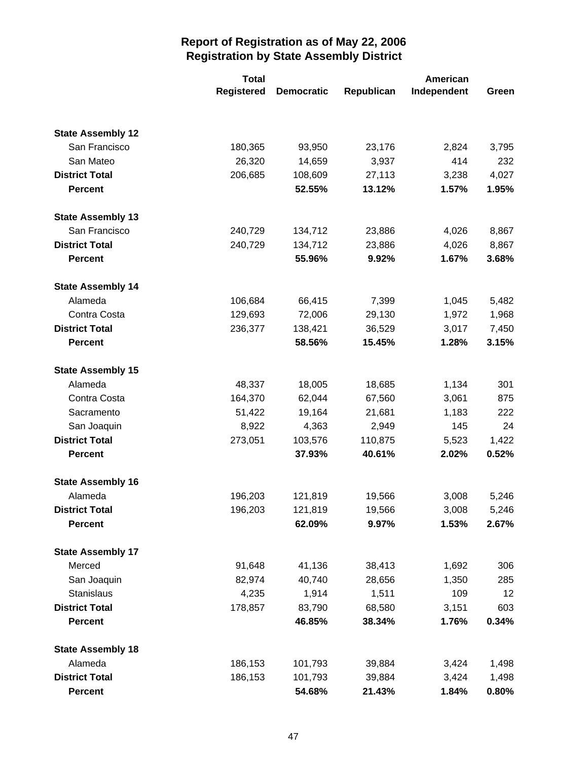|                          | <b>Total</b>      |                   | <b>American</b> |             |       |
|--------------------------|-------------------|-------------------|-----------------|-------------|-------|
|                          | <b>Registered</b> | <b>Democratic</b> | Republican      | Independent | Green |
|                          |                   |                   |                 |             |       |
| <b>State Assembly 12</b> |                   |                   |                 |             |       |
| San Francisco            | 180,365           | 93,950            | 23,176          | 2,824       | 3,795 |
| San Mateo                | 26,320            | 14,659            | 3,937           | 414         | 232   |
| <b>District Total</b>    | 206,685           | 108,609           | 27,113          | 3,238       | 4,027 |
| <b>Percent</b>           |                   | 52.55%            | 13.12%          | 1.57%       | 1.95% |
| <b>State Assembly 13</b> |                   |                   |                 |             |       |
| San Francisco            | 240,729           | 134,712           | 23,886          | 4,026       | 8,867 |
| <b>District Total</b>    | 240,729           | 134,712           | 23,886          | 4,026       | 8,867 |
| <b>Percent</b>           |                   | 55.96%            | 9.92%           | 1.67%       | 3.68% |
| <b>State Assembly 14</b> |                   |                   |                 |             |       |
| Alameda                  | 106,684           | 66,415            | 7,399           | 1,045       | 5,482 |
| Contra Costa             | 129,693           | 72,006            | 29,130          | 1,972       | 1,968 |
| <b>District Total</b>    | 236,377           | 138,421           | 36,529          | 3,017       | 7,450 |
| <b>Percent</b>           |                   | 58.56%            | 15.45%          | 1.28%       | 3.15% |
| <b>State Assembly 15</b> |                   |                   |                 |             |       |
| Alameda                  | 48,337            | 18,005            | 18,685          | 1,134       | 301   |
| Contra Costa             | 164,370           | 62,044            | 67,560          | 3,061       | 875   |
| Sacramento               | 51,422            | 19,164            | 21,681          | 1,183       | 222   |
| San Joaquin              | 8,922             | 4,363             | 2,949           | 145         | 24    |
| <b>District Total</b>    | 273,051           | 103,576           | 110,875         | 5,523       | 1,422 |
| <b>Percent</b>           |                   | 37.93%            | 40.61%          | 2.02%       | 0.52% |
| <b>State Assembly 16</b> |                   |                   |                 |             |       |
| Alameda                  | 196,203           | 121,819           | 19,566          | 3,008       | 5,246 |
| <b>District Total</b>    | 196,203           | 121,819           | 19,566          | 3,008       | 5,246 |
| <b>Percent</b>           |                   | 62.09%            | 9.97%           | 1.53%       | 2.67% |
| <b>State Assembly 17</b> |                   |                   |                 |             |       |
| Merced                   | 91,648            | 41,136            | 38,413          | 1,692       | 306   |
| San Joaquin              | 82,974            | 40,740            | 28,656          | 1,350       | 285   |
| <b>Stanislaus</b>        | 4,235             | 1,914             | 1,511           | 109         | 12    |
| <b>District Total</b>    | 178,857           | 83,790            | 68,580          | 3,151       | 603   |
| <b>Percent</b>           |                   | 46.85%            | 38.34%          | 1.76%       | 0.34% |
| <b>State Assembly 18</b> |                   |                   |                 |             |       |
| Alameda                  | 186,153           | 101,793           | 39,884          | 3,424       | 1,498 |
| <b>District Total</b>    | 186,153           | 101,793           | 39,884          | 3,424       | 1,498 |
| <b>Percent</b>           |                   | 54.68%            | 21.43%          | 1.84%       | 0.80% |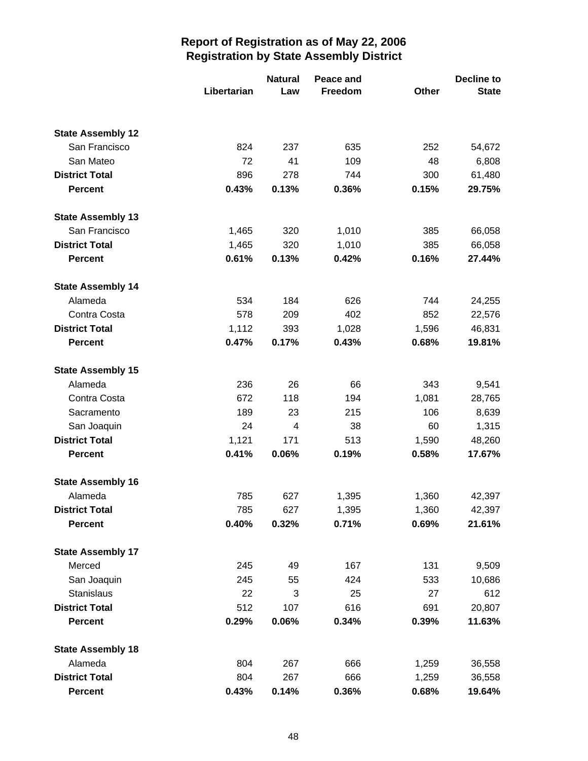|                          | <b>Natural</b> | Peace and |         |       |              |
|--------------------------|----------------|-----------|---------|-------|--------------|
|                          | Libertarian    | Law       | Freedom | Other | <b>State</b> |
|                          |                |           |         |       |              |
| <b>State Assembly 12</b> |                |           |         |       |              |
| San Francisco            | 824            | 237       | 635     | 252   | 54,672       |
| San Mateo                | 72             | 41        | 109     | 48    | 6,808        |
| <b>District Total</b>    | 896            | 278       | 744     | 300   | 61,480       |
| <b>Percent</b>           | 0.43%          | 0.13%     | 0.36%   | 0.15% | 29.75%       |
| <b>State Assembly 13</b> |                |           |         |       |              |
| San Francisco            | 1,465          | 320       | 1,010   | 385   | 66,058       |
| <b>District Total</b>    | 1,465          | 320       | 1,010   | 385   | 66,058       |
| <b>Percent</b>           | 0.61%          | 0.13%     | 0.42%   | 0.16% | 27.44%       |
| <b>State Assembly 14</b> |                |           |         |       |              |
| Alameda                  | 534            | 184       | 626     | 744   | 24,255       |
| Contra Costa             | 578            | 209       | 402     | 852   | 22,576       |
| <b>District Total</b>    | 1,112          | 393       | 1,028   | 1,596 | 46,831       |
| <b>Percent</b>           | 0.47%          | 0.17%     | 0.43%   | 0.68% | 19.81%       |
| <b>State Assembly 15</b> |                |           |         |       |              |
| Alameda                  | 236            | 26        | 66      | 343   | 9,541        |
| Contra Costa             | 672            | 118       | 194     | 1,081 | 28,765       |
| Sacramento               | 189            | 23        | 215     | 106   | 8,639        |
| San Joaquin              | 24             | 4         | 38      | 60    | 1,315        |
| <b>District Total</b>    | 1,121          | 171       | 513     | 1,590 | 48,260       |
| <b>Percent</b>           | 0.41%          | 0.06%     | 0.19%   | 0.58% | 17.67%       |
| <b>State Assembly 16</b> |                |           |         |       |              |
| Alameda                  | 785            | 627       | 1,395   | 1,360 | 42,397       |
| <b>District Total</b>    | 785            | 627       | 1,395   | 1,360 | 42,397       |
| <b>Percent</b>           | 0.40%          | 0.32%     | 0.71%   | 0.69% | 21.61%       |
| <b>State Assembly 17</b> |                |           |         |       |              |
| Merced                   | 245            | 49        | 167     | 131   | 9,509        |
| San Joaquin              | 245            | 55        | 424     | 533   | 10,686       |
| Stanislaus               | 22             | 3         | 25      | 27    | 612          |
| <b>District Total</b>    | 512            | 107       | 616     | 691   | 20,807       |
| <b>Percent</b>           | 0.29%          | 0.06%     | 0.34%   | 0.39% | 11.63%       |
| <b>State Assembly 18</b> |                |           |         |       |              |
| Alameda                  | 804            | 267       | 666     | 1,259 | 36,558       |
| <b>District Total</b>    | 804            | 267       | 666     | 1,259 | 36,558       |
| <b>Percent</b>           | 0.43%          | 0.14%     | 0.36%   | 0.68% | 19.64%       |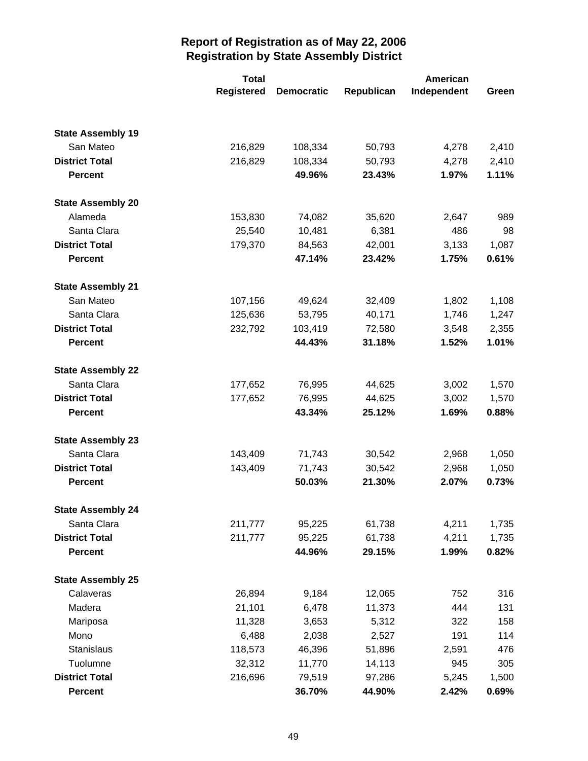|                          | <b>Total</b>      |                   | American   |             |       |
|--------------------------|-------------------|-------------------|------------|-------------|-------|
|                          | <b>Registered</b> | <b>Democratic</b> | Republican | Independent | Green |
|                          |                   |                   |            |             |       |
| <b>State Assembly 19</b> |                   |                   |            |             |       |
| San Mateo                | 216,829           | 108,334           | 50,793     | 4,278       | 2,410 |
| <b>District Total</b>    | 216,829           | 108,334           | 50,793     | 4,278       | 2,410 |
| <b>Percent</b>           |                   | 49.96%            | 23.43%     | 1.97%       | 1.11% |
| <b>State Assembly 20</b> |                   |                   |            |             |       |
| Alameda                  | 153,830           | 74,082            | 35,620     | 2,647       | 989   |
| Santa Clara              | 25,540            | 10,481            | 6,381      | 486         | 98    |
| <b>District Total</b>    | 179,370           | 84,563            | 42,001     | 3,133       | 1,087 |
| <b>Percent</b>           |                   | 47.14%            | 23.42%     | 1.75%       | 0.61% |
| <b>State Assembly 21</b> |                   |                   |            |             |       |
| San Mateo                | 107,156           | 49,624            | 32,409     | 1,802       | 1,108 |
| Santa Clara              | 125,636           | 53,795            | 40,171     | 1,746       | 1,247 |
| <b>District Total</b>    | 232,792           | 103,419           | 72,580     | 3,548       | 2,355 |
| <b>Percent</b>           |                   | 44.43%            | 31.18%     | 1.52%       | 1.01% |
| <b>State Assembly 22</b> |                   |                   |            |             |       |
| Santa Clara              | 177,652           | 76,995            | 44,625     | 3,002       | 1,570 |
| <b>District Total</b>    | 177,652           | 76,995            | 44,625     | 3,002       | 1,570 |
| <b>Percent</b>           |                   | 43.34%            | 25.12%     | 1.69%       | 0.88% |
| <b>State Assembly 23</b> |                   |                   |            |             |       |
| Santa Clara              | 143,409           | 71,743            | 30,542     | 2,968       | 1,050 |
| <b>District Total</b>    | 143,409           | 71,743            | 30,542     | 2,968       | 1,050 |
| <b>Percent</b>           |                   | 50.03%            | 21.30%     | 2.07%       | 0.73% |
| <b>State Assembly 24</b> |                   |                   |            |             |       |
| Santa Clara              | 211,777           | 95,225            | 61,738     | 4,211       | 1,735 |
| <b>District Total</b>    | 211,777           | 95,225            | 61,738     | 4,211       | 1,735 |
| <b>Percent</b>           |                   | 44.96%            | 29.15%     | 1.99%       | 0.82% |
| <b>State Assembly 25</b> |                   |                   |            |             |       |
| Calaveras                | 26,894            | 9,184             | 12,065     | 752         | 316   |
| Madera                   | 21,101            | 6,478             | 11,373     | 444         | 131   |
| Mariposa                 | 11,328            | 3,653             | 5,312      | 322         | 158   |
| Mono                     | 6,488             | 2,038             | 2,527      | 191         | 114   |
| Stanislaus               | 118,573           | 46,396            | 51,896     | 2,591       | 476   |
| Tuolumne                 | 32,312            | 11,770            | 14,113     | 945         | 305   |
| <b>District Total</b>    | 216,696           | 79,519            | 97,286     | 5,245       | 1,500 |
| <b>Percent</b>           |                   | 36.70%            | 44.90%     | 2.42%       | 0.69% |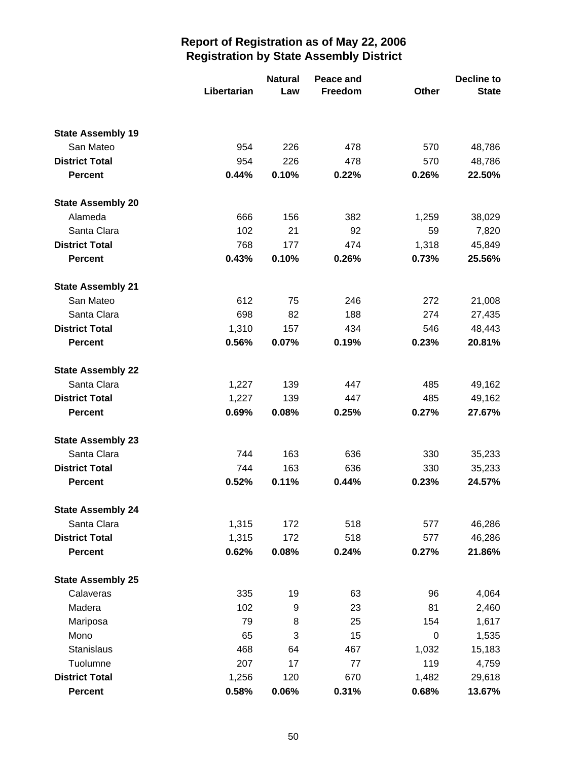|                          |             | <b>Natural</b> | Peace and |             | Decline to   |  |
|--------------------------|-------------|----------------|-----------|-------------|--------------|--|
|                          | Libertarian | Law            | Freedom   | Other       | <b>State</b> |  |
|                          |             |                |           |             |              |  |
| <b>State Assembly 19</b> |             |                |           |             |              |  |
| San Mateo                | 954         | 226            | 478       | 570         | 48,786       |  |
| <b>District Total</b>    | 954         | 226            | 478       | 570         | 48,786       |  |
| <b>Percent</b>           | 0.44%       | 0.10%          | 0.22%     | 0.26%       | 22.50%       |  |
| <b>State Assembly 20</b> |             |                |           |             |              |  |
| Alameda                  | 666         | 156            | 382       | 1,259       | 38,029       |  |
| Santa Clara              | 102         | 21             | 92        | 59          | 7,820        |  |
| <b>District Total</b>    | 768         | 177            | 474       | 1,318       | 45,849       |  |
| <b>Percent</b>           | 0.43%       | 0.10%          | 0.26%     | 0.73%       | 25.56%       |  |
| <b>State Assembly 21</b> |             |                |           |             |              |  |
| San Mateo                | 612         | 75             | 246       | 272         | 21,008       |  |
| Santa Clara              | 698         | 82             | 188       | 274         | 27,435       |  |
| <b>District Total</b>    | 1,310       | 157            | 434       | 546         | 48,443       |  |
| <b>Percent</b>           | 0.56%       | 0.07%          | 0.19%     | 0.23%       | 20.81%       |  |
| <b>State Assembly 22</b> |             |                |           |             |              |  |
| Santa Clara              | 1,227       | 139            | 447       | 485         | 49,162       |  |
| <b>District Total</b>    | 1,227       | 139            | 447       | 485         | 49,162       |  |
| <b>Percent</b>           | 0.69%       | 0.08%          | 0.25%     | 0.27%       | 27.67%       |  |
| <b>State Assembly 23</b> |             |                |           |             |              |  |
| Santa Clara              | 744         | 163            | 636       | 330         | 35,233       |  |
| <b>District Total</b>    | 744         | 163            | 636       | 330         | 35,233       |  |
| <b>Percent</b>           | 0.52%       | 0.11%          | 0.44%     | 0.23%       | 24.57%       |  |
| <b>State Assembly 24</b> |             |                |           |             |              |  |
| Santa Clara              | 1,315       | 172            | 518       | 577         | 46,286       |  |
| <b>District Total</b>    | 1,315       | 172            | 518       | 577         | 46,286       |  |
| <b>Percent</b>           | 0.62%       | 0.08%          | 0.24%     | 0.27%       | 21.86%       |  |
| <b>State Assembly 25</b> |             |                |           |             |              |  |
| Calaveras                | 335         | 19             | 63        | 96          | 4,064        |  |
| Madera                   | 102         | 9              | 23        | 81          | 2,460        |  |
| Mariposa                 | 79          | 8              | 25        | 154         | 1,617        |  |
| Mono                     | 65          | 3              | 15        | $\mathbf 0$ | 1,535        |  |
| Stanislaus               | 468         | 64             | 467       | 1,032       | 15,183       |  |
| Tuolumne                 | 207         | 17             | $77 \,$   | 119         | 4,759        |  |
| <b>District Total</b>    | 1,256       | 120            | 670       | 1,482       | 29,618       |  |
| <b>Percent</b>           | 0.58%       | 0.06%          | 0.31%     | 0.68%       | 13.67%       |  |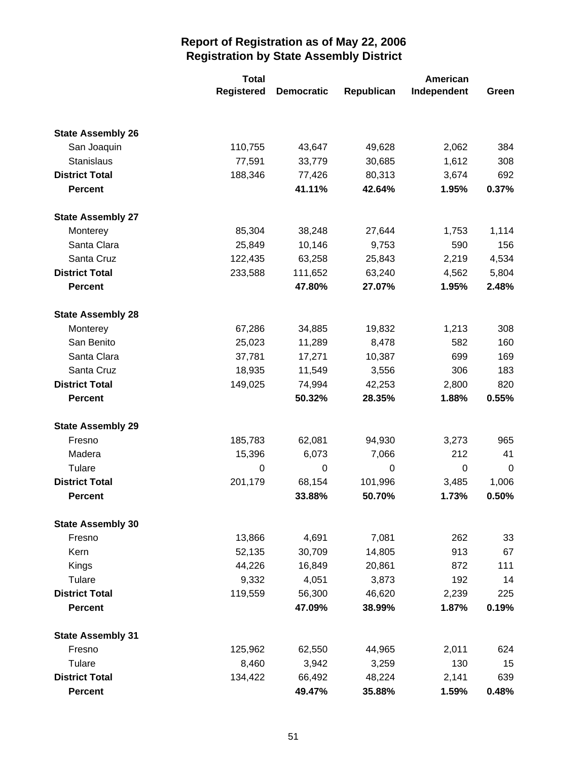|                          | <b>Total</b>      |                   | <b>American</b> |             |       |
|--------------------------|-------------------|-------------------|-----------------|-------------|-------|
|                          | <b>Registered</b> | <b>Democratic</b> | Republican      | Independent | Green |
|                          |                   |                   |                 |             |       |
| <b>State Assembly 26</b> |                   |                   |                 |             |       |
| San Joaquin              | 110,755           | 43,647            | 49,628          | 2,062       | 384   |
| Stanislaus               | 77,591            | 33,779            | 30,685          | 1,612       | 308   |
| <b>District Total</b>    | 188,346           | 77,426            | 80,313          | 3,674       | 692   |
| <b>Percent</b>           |                   | 41.11%            | 42.64%          | 1.95%       | 0.37% |
| <b>State Assembly 27</b> |                   |                   |                 |             |       |
| Monterey                 | 85,304            | 38,248            | 27,644          | 1,753       | 1,114 |
| Santa Clara              | 25,849            | 10,146            | 9,753           | 590         | 156   |
| Santa Cruz               | 122,435           | 63,258            | 25,843          | 2,219       | 4,534 |
| <b>District Total</b>    | 233,588           | 111,652           | 63,240          | 4,562       | 5,804 |
| <b>Percent</b>           |                   | 47.80%            | 27.07%          | 1.95%       | 2.48% |
| <b>State Assembly 28</b> |                   |                   |                 |             |       |
| Monterey                 | 67,286            | 34,885            | 19,832          | 1,213       | 308   |
| San Benito               | 25,023            | 11,289            | 8,478           | 582         | 160   |
| Santa Clara              | 37,781            | 17,271            | 10,387          | 699         | 169   |
| Santa Cruz               | 18,935            | 11,549            | 3,556           | 306         | 183   |
| <b>District Total</b>    | 149,025           | 74,994            | 42,253          | 2,800       | 820   |
| <b>Percent</b>           |                   | 50.32%            | 28.35%          | 1.88%       | 0.55% |
| <b>State Assembly 29</b> |                   |                   |                 |             |       |
| Fresno                   | 185,783           | 62,081            | 94,930          | 3,273       | 965   |
| Madera                   | 15,396            | 6,073             | 7,066           | 212         | 41    |
| Tulare                   | 0                 | 0                 | 0               | $\mathbf 0$ | 0     |
| <b>District Total</b>    | 201,179           | 68,154            | 101,996         | 3,485       | 1,006 |
| <b>Percent</b>           |                   | 33.88%            | 50.70%          | 1.73%       | 0.50% |
| <b>State Assembly 30</b> |                   |                   |                 |             |       |
| Fresno                   | 13,866            | 4,691             | 7,081           | 262         | 33    |
| Kern                     | 52,135            | 30,709            | 14,805          | 913         | 67    |
| Kings                    | 44,226            | 16,849            | 20,861          | 872         | 111   |
| Tulare                   | 9,332             | 4,051             | 3,873           | 192         | 14    |
| <b>District Total</b>    | 119,559           | 56,300            | 46,620          | 2,239       | 225   |
| <b>Percent</b>           |                   | 47.09%            | 38.99%          | 1.87%       | 0.19% |
| <b>State Assembly 31</b> |                   |                   |                 |             |       |
| Fresno                   | 125,962           | 62,550            | 44,965          | 2,011       | 624   |
| Tulare                   | 8,460             | 3,942             | 3,259           | 130         | 15    |
| <b>District Total</b>    | 134,422           | 66,492            | 48,224          | 2,141       | 639   |
| <b>Percent</b>           |                   | 49.47%            | 35.88%          | 1.59%       | 0.48% |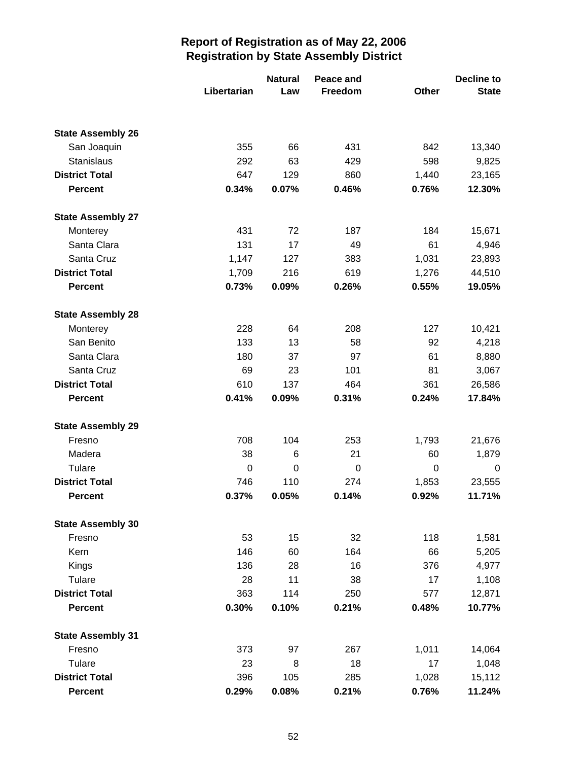|                          |             | <b>Natural</b> | Peace and |             | Decline to   |  |  |
|--------------------------|-------------|----------------|-----------|-------------|--------------|--|--|
|                          | Libertarian | Law            | Freedom   | Other       | <b>State</b> |  |  |
|                          |             |                |           |             |              |  |  |
| <b>State Assembly 26</b> |             |                |           |             |              |  |  |
| San Joaquin              | 355         | 66             | 431       | 842         | 13,340       |  |  |
| Stanislaus               | 292         | 63             | 429       | 598         | 9,825        |  |  |
| <b>District Total</b>    | 647         | 129            | 860       | 1,440       | 23,165       |  |  |
| <b>Percent</b>           | 0.34%       | 0.07%          | 0.46%     | 0.76%       | 12.30%       |  |  |
| <b>State Assembly 27</b> |             |                |           |             |              |  |  |
| Monterey                 | 431         | 72             | 187       | 184         | 15,671       |  |  |
| Santa Clara              | 131         | 17             | 49        | 61          | 4,946        |  |  |
| Santa Cruz               | 1,147       | 127            | 383       | 1,031       | 23,893       |  |  |
| <b>District Total</b>    | 1,709       | 216            | 619       | 1,276       | 44,510       |  |  |
| <b>Percent</b>           | 0.73%       | 0.09%          | 0.26%     | 0.55%       | 19.05%       |  |  |
| <b>State Assembly 28</b> |             |                |           |             |              |  |  |
| Monterey                 | 228         | 64             | 208       | 127         | 10,421       |  |  |
| San Benito               | 133         | 13             | 58        | 92          | 4,218        |  |  |
| Santa Clara              | 180         | 37             | 97        | 61          | 8,880        |  |  |
| Santa Cruz               | 69          | 23             | 101       | 81          | 3,067        |  |  |
| <b>District Total</b>    | 610         | 137            | 464       | 361         | 26,586       |  |  |
| <b>Percent</b>           | 0.41%       | 0.09%          | 0.31%     | 0.24%       | 17.84%       |  |  |
| <b>State Assembly 29</b> |             |                |           |             |              |  |  |
| Fresno                   | 708         | 104            | 253       | 1,793       | 21,676       |  |  |
| Madera                   | 38          | 6              | 21        | 60          | 1,879        |  |  |
| Tulare                   | 0           | $\mathbf 0$    | 0         | $\mathbf 0$ | 0            |  |  |
| <b>District Total</b>    | 746         | 110            | 274       | 1,853       | 23,555       |  |  |
| <b>Percent</b>           | 0.37%       | 0.05%          | 0.14%     | 0.92%       | 11.71%       |  |  |
| <b>State Assembly 30</b> |             |                |           |             |              |  |  |
| Fresno                   | 53          | 15             | 32        | 118         | 1,581        |  |  |
| Kern                     | 146         | 60             | 164       | 66          | 5,205        |  |  |
| Kings                    | 136         | 28             | 16        | 376         | 4,977        |  |  |
| Tulare                   | 28          | 11             | 38        | 17          | 1,108        |  |  |
| <b>District Total</b>    | 363         | 114            | 250       | 577         | 12,871       |  |  |
| <b>Percent</b>           | 0.30%       | 0.10%          | 0.21%     | 0.48%       | 10.77%       |  |  |
| <b>State Assembly 31</b> |             |                |           |             |              |  |  |
| Fresno                   | 373         | 97             | 267       | 1,011       | 14,064       |  |  |
| Tulare                   | 23          | 8              | 18        | 17          | 1,048        |  |  |
| <b>District Total</b>    | 396         | 105            | 285       | 1,028       | 15,112       |  |  |
| <b>Percent</b>           | 0.29%       | 0.08%          | 0.21%     | 0.76%       | 11.24%       |  |  |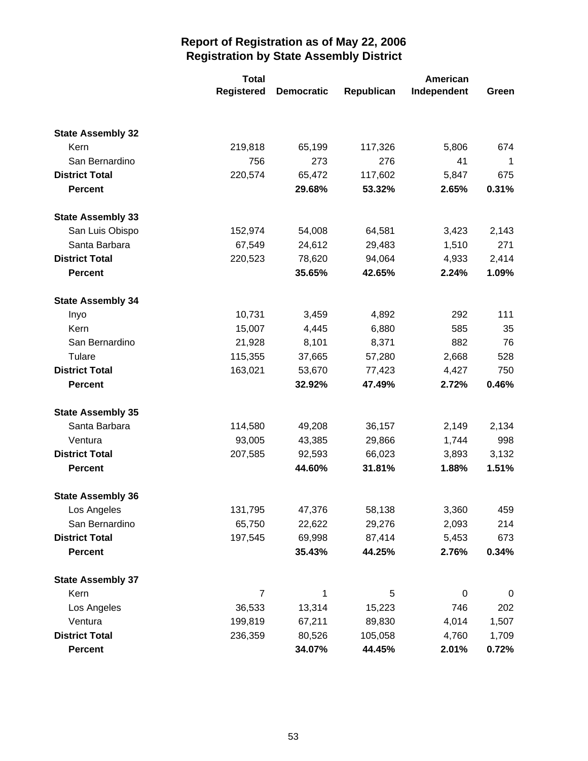|                          | <b>Total</b>      |                   | American   |             |       |  |
|--------------------------|-------------------|-------------------|------------|-------------|-------|--|
|                          | <b>Registered</b> | <b>Democratic</b> | Republican | Independent | Green |  |
|                          |                   |                   |            |             |       |  |
| <b>State Assembly 32</b> |                   |                   |            |             |       |  |
| Kern                     | 219,818           | 65,199            | 117,326    | 5,806       | 674   |  |
| San Bernardino           | 756               | 273               | 276        | 41          | 1     |  |
| <b>District Total</b>    | 220,574           | 65,472            | 117,602    | 5,847       | 675   |  |
| <b>Percent</b>           |                   | 29.68%            | 53.32%     | 2.65%       | 0.31% |  |
| <b>State Assembly 33</b> |                   |                   |            |             |       |  |
| San Luis Obispo          | 152,974           | 54,008            | 64,581     | 3,423       | 2,143 |  |
| Santa Barbara            | 67,549            | 24,612            | 29,483     | 1,510       | 271   |  |
| <b>District Total</b>    | 220,523           | 78,620            | 94,064     | 4,933       | 2,414 |  |
| <b>Percent</b>           |                   | 35.65%            | 42.65%     | 2.24%       | 1.09% |  |
| <b>State Assembly 34</b> |                   |                   |            |             |       |  |
| Inyo                     | 10,731            | 3,459             | 4,892      | 292         | 111   |  |
| Kern                     | 15,007            | 4,445             | 6,880      | 585         | 35    |  |
| San Bernardino           | 21,928            | 8,101             | 8,371      | 882         | 76    |  |
| Tulare                   | 115,355           | 37,665            | 57,280     | 2,668       | 528   |  |
| <b>District Total</b>    | 163,021           | 53,670            | 77,423     | 4,427       | 750   |  |
| <b>Percent</b>           |                   | 32.92%            | 47.49%     | 2.72%       | 0.46% |  |
| <b>State Assembly 35</b> |                   |                   |            |             |       |  |
| Santa Barbara            | 114,580           | 49,208            | 36,157     | 2,149       | 2,134 |  |
| Ventura                  | 93,005            | 43,385            | 29,866     | 1,744       | 998   |  |
| <b>District Total</b>    | 207,585           | 92,593            | 66,023     | 3,893       | 3,132 |  |
| <b>Percent</b>           |                   | 44.60%            | 31.81%     | 1.88%       | 1.51% |  |
| <b>State Assembly 36</b> |                   |                   |            |             |       |  |
| Los Angeles              | 131,795           | 47,376            | 58,138     | 3,360       | 459   |  |
| San Bernardino           | 65,750            | 22,622            | 29,276     | 2,093       | 214   |  |
| <b>District Total</b>    | 197,545           | 69,998            | 87,414     | 5,453       | 673   |  |
| <b>Percent</b>           |                   | 35.43%            | 44.25%     | 2.76%       | 0.34% |  |
| <b>State Assembly 37</b> |                   |                   |            |             |       |  |
| Kern                     | 7                 | 1                 | 5          | $\mathbf 0$ | 0     |  |
| Los Angeles              | 36,533            | 13,314            | 15,223     | 746         | 202   |  |
| Ventura                  | 199,819           | 67,211            | 89,830     | 4,014       | 1,507 |  |
| <b>District Total</b>    | 236,359           | 80,526            | 105,058    | 4,760       | 1,709 |  |
| <b>Percent</b>           |                   | 34.07%            | 44.45%     | 2.01%       | 0.72% |  |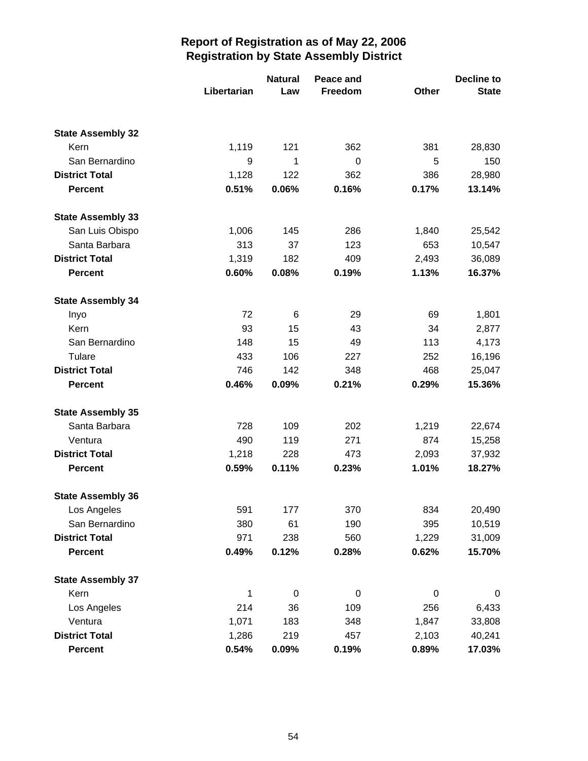|                          |             | <b>Natural</b><br>Peace and |             |             | Decline to   |
|--------------------------|-------------|-----------------------------|-------------|-------------|--------------|
|                          | Libertarian | Law                         | Freedom     | Other       | <b>State</b> |
|                          |             |                             |             |             |              |
| <b>State Assembly 32</b> |             |                             |             |             |              |
| Kern                     | 1,119       | 121                         | 362         | 381         | 28,830       |
| San Bernardino           | 9           | 1                           | $\mathbf 0$ | 5           | 150          |
| <b>District Total</b>    | 1,128       | 122                         | 362         | 386         | 28,980       |
| <b>Percent</b>           | 0.51%       | 0.06%                       | 0.16%       | 0.17%       | 13.14%       |
| <b>State Assembly 33</b> |             |                             |             |             |              |
| San Luis Obispo          | 1,006       | 145                         | 286         | 1,840       | 25,542       |
| Santa Barbara            | 313         | 37                          | 123         | 653         | 10,547       |
| <b>District Total</b>    | 1,319       | 182                         | 409         | 2,493       | 36,089       |
| <b>Percent</b>           | 0.60%       | 0.08%                       | 0.19%       | 1.13%       | 16.37%       |
| <b>State Assembly 34</b> |             |                             |             |             |              |
| Inyo                     | 72          | 6                           | 29          | 69          | 1,801        |
| Kern                     | 93          | 15                          | 43          | 34          | 2,877        |
| San Bernardino           | 148         | 15                          | 49          | 113         | 4,173        |
| Tulare                   | 433         | 106                         | 227         | 252         | 16,196       |
| <b>District Total</b>    | 746         | 142                         | 348         | 468         | 25,047       |
| <b>Percent</b>           | 0.46%       | 0.09%                       | 0.21%       | 0.29%       | 15.36%       |
| <b>State Assembly 35</b> |             |                             |             |             |              |
| Santa Barbara            | 728         | 109                         | 202         | 1,219       | 22,674       |
| Ventura                  | 490         | 119                         | 271         | 874         | 15,258       |
| <b>District Total</b>    | 1,218       | 228                         | 473         | 2,093       | 37,932       |
| <b>Percent</b>           | 0.59%       | 0.11%                       | 0.23%       | 1.01%       | 18.27%       |
| <b>State Assembly 36</b> |             |                             |             |             |              |
| Los Angeles              | 591         | 177                         | 370         | 834         | 20,490       |
| San Bernardino           | 380         | 61                          | 190         | 395         | 10,519       |
| <b>District Total</b>    | 971         | 238                         | 560         | 1,229       | 31,009       |
| <b>Percent</b>           | 0.49%       | 0.12%                       | 0.28%       | 0.62%       | 15.70%       |
| <b>State Assembly 37</b> |             |                             |             |             |              |
| Kern                     | 1           | $\boldsymbol{0}$            | 0           | $\mathbf 0$ | 0            |
| Los Angeles              | 214         | 36                          | 109         | 256         | 6,433        |
| Ventura                  | 1,071       | 183                         | 348         | 1,847       | 33,808       |
| <b>District Total</b>    | 1,286       | 219                         | 457         | 2,103       | 40,241       |
| <b>Percent</b>           | 0.54%       | 0.09%                       | 0.19%       | 0.89%       | 17.03%       |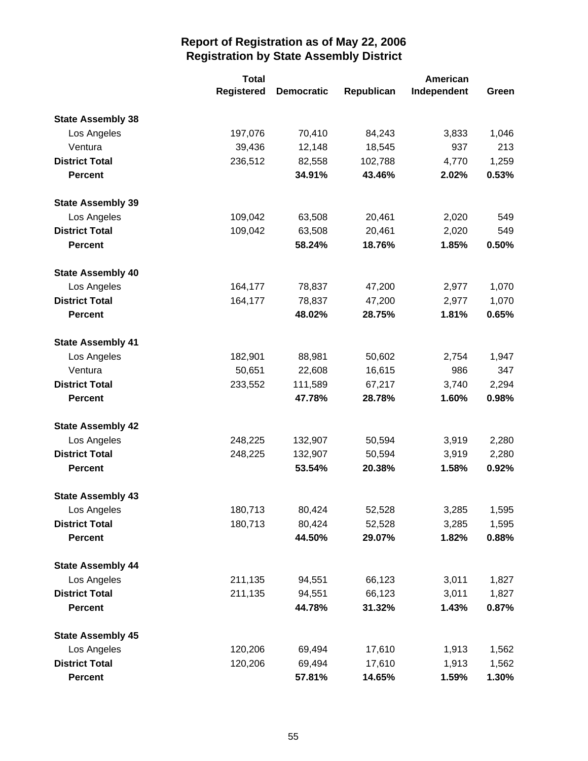|                          | <b>Total</b>      |                   | <b>American</b> |             |       |
|--------------------------|-------------------|-------------------|-----------------|-------------|-------|
|                          | <b>Registered</b> | <b>Democratic</b> | Republican      | Independent | Green |
| <b>State Assembly 38</b> |                   |                   |                 |             |       |
| Los Angeles              | 197,076           | 70,410            | 84,243          | 3,833       | 1,046 |
| Ventura                  | 39,436            | 12,148            | 18,545          | 937         | 213   |
| <b>District Total</b>    | 236,512           | 82,558            | 102,788         | 4,770       | 1,259 |
| <b>Percent</b>           |                   | 34.91%            | 43.46%          | 2.02%       | 0.53% |
| <b>State Assembly 39</b> |                   |                   |                 |             |       |
| Los Angeles              | 109,042           | 63,508            | 20,461          | 2,020       | 549   |
| <b>District Total</b>    | 109,042           | 63,508            | 20,461          | 2,020       | 549   |
| <b>Percent</b>           |                   | 58.24%            | 18.76%          | 1.85%       | 0.50% |
| <b>State Assembly 40</b> |                   |                   |                 |             |       |
| Los Angeles              | 164,177           | 78,837            | 47,200          | 2,977       | 1,070 |
| <b>District Total</b>    | 164,177           | 78,837            | 47,200          | 2,977       | 1,070 |
| <b>Percent</b>           |                   | 48.02%            | 28.75%          | 1.81%       | 0.65% |
| <b>State Assembly 41</b> |                   |                   |                 |             |       |
| Los Angeles              | 182,901           | 88,981            | 50,602          | 2,754       | 1,947 |
| Ventura                  | 50,651            | 22,608            | 16,615          | 986         | 347   |
| <b>District Total</b>    | 233,552           | 111,589           | 67,217          | 3,740       | 2,294 |
| <b>Percent</b>           |                   | 47.78%            | 28.78%          | 1.60%       | 0.98% |
| <b>State Assembly 42</b> |                   |                   |                 |             |       |
| Los Angeles              | 248,225           | 132,907           | 50,594          | 3,919       | 2,280 |
| <b>District Total</b>    | 248,225           | 132,907           | 50,594          | 3,919       | 2,280 |
| <b>Percent</b>           |                   | 53.54%            | 20.38%          | 1.58%       | 0.92% |
| <b>State Assembly 43</b> |                   |                   |                 |             |       |
| Los Angeles              | 180,713           | 80,424            | 52,528          | 3,285       | 1,595 |
| <b>District Total</b>    | 180,713           | 80,424            | 52,528          | 3,285       | 1,595 |
| <b>Percent</b>           |                   | 44.50%            | 29.07%          | 1.82%       | 0.88% |
| <b>State Assembly 44</b> |                   |                   |                 |             |       |
| Los Angeles              | 211,135           | 94,551            | 66,123          | 3,011       | 1,827 |
| <b>District Total</b>    | 211,135           | 94,551            | 66,123          | 3,011       | 1,827 |
| <b>Percent</b>           |                   | 44.78%            | 31.32%          | 1.43%       | 0.87% |
| <b>State Assembly 45</b> |                   |                   |                 |             |       |
| Los Angeles              | 120,206           | 69,494            | 17,610          | 1,913       | 1,562 |
| <b>District Total</b>    | 120,206           | 69,494            | 17,610          | 1,913       | 1,562 |
| <b>Percent</b>           |                   | 57.81%            | 14.65%          | 1.59%       | 1.30% |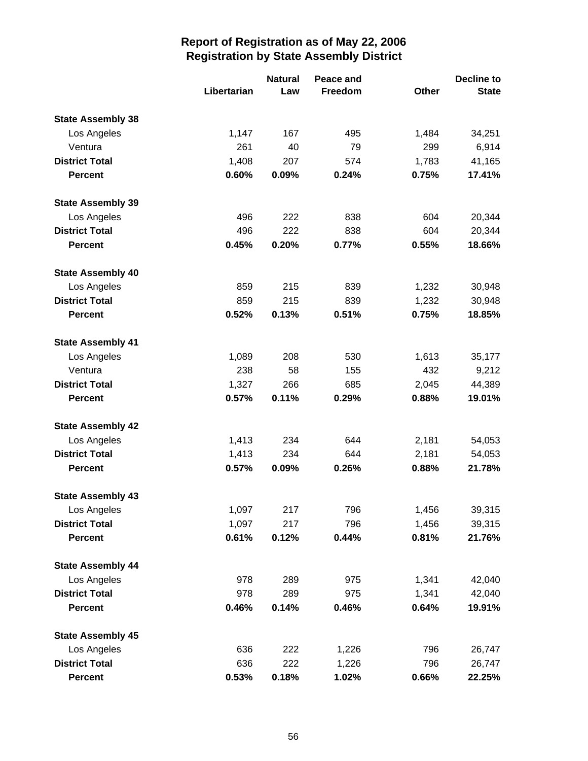|                          |             | <b>Natural</b><br>Peace and |         | <b>Decline to</b> |              |
|--------------------------|-------------|-----------------------------|---------|-------------------|--------------|
|                          | Libertarian | Law                         | Freedom | Other             | <b>State</b> |
| <b>State Assembly 38</b> |             |                             |         |                   |              |
| Los Angeles              | 1,147       | 167                         | 495     | 1,484             | 34,251       |
| Ventura                  | 261         | 40                          | 79      | 299               | 6,914        |
| <b>District Total</b>    | 1,408       | 207                         | 574     | 1,783             | 41,165       |
| <b>Percent</b>           | 0.60%       | 0.09%                       | 0.24%   | 0.75%             | 17.41%       |
| <b>State Assembly 39</b> |             |                             |         |                   |              |
| Los Angeles              | 496         | 222                         | 838     | 604               | 20,344       |
| <b>District Total</b>    | 496         | 222                         | 838     | 604               | 20,344       |
| <b>Percent</b>           | 0.45%       | 0.20%                       | 0.77%   | 0.55%             | 18.66%       |
| <b>State Assembly 40</b> |             |                             |         |                   |              |
| Los Angeles              | 859         | 215                         | 839     | 1,232             | 30,948       |
| <b>District Total</b>    | 859         | 215                         | 839     | 1,232             | 30,948       |
| <b>Percent</b>           | 0.52%       | 0.13%                       | 0.51%   | 0.75%             | 18.85%       |
| <b>State Assembly 41</b> |             |                             |         |                   |              |
| Los Angeles              | 1,089       | 208                         | 530     | 1,613             | 35,177       |
| Ventura                  | 238         | 58                          | 155     | 432               | 9,212        |
| <b>District Total</b>    | 1,327       | 266                         | 685     | 2,045             | 44,389       |
| <b>Percent</b>           | 0.57%       | 0.11%                       | 0.29%   | 0.88%             | 19.01%       |
| <b>State Assembly 42</b> |             |                             |         |                   |              |
| Los Angeles              | 1,413       | 234                         | 644     | 2,181             | 54,053       |
| <b>District Total</b>    | 1,413       | 234                         | 644     | 2,181             | 54,053       |
| <b>Percent</b>           | 0.57%       | 0.09%                       | 0.26%   | 0.88%             | 21.78%       |
| <b>State Assembly 43</b> |             |                             |         |                   |              |
| Los Angeles              | 1,097       | 217                         | 796     | 1,456             | 39,315       |
| <b>District Total</b>    | 1,097       | 217                         | 796     | 1,456             | 39,315       |
| <b>Percent</b>           | 0.61%       | 0.12%                       | 0.44%   | 0.81%             | 21.76%       |
| <b>State Assembly 44</b> |             |                             |         |                   |              |
| Los Angeles              | 978         | 289                         | 975     | 1,341             | 42,040       |
| <b>District Total</b>    | 978         | 289                         | 975     | 1,341             | 42,040       |
| <b>Percent</b>           | 0.46%       | 0.14%                       | 0.46%   | 0.64%             | 19.91%       |
| <b>State Assembly 45</b> |             |                             |         |                   |              |
| Los Angeles              | 636         | 222                         | 1,226   | 796               | 26,747       |
| <b>District Total</b>    | 636         | 222                         | 1,226   | 796               | 26,747       |
| <b>Percent</b>           | 0.53%       | 0.18%                       | 1.02%   | 0.66%             | 22.25%       |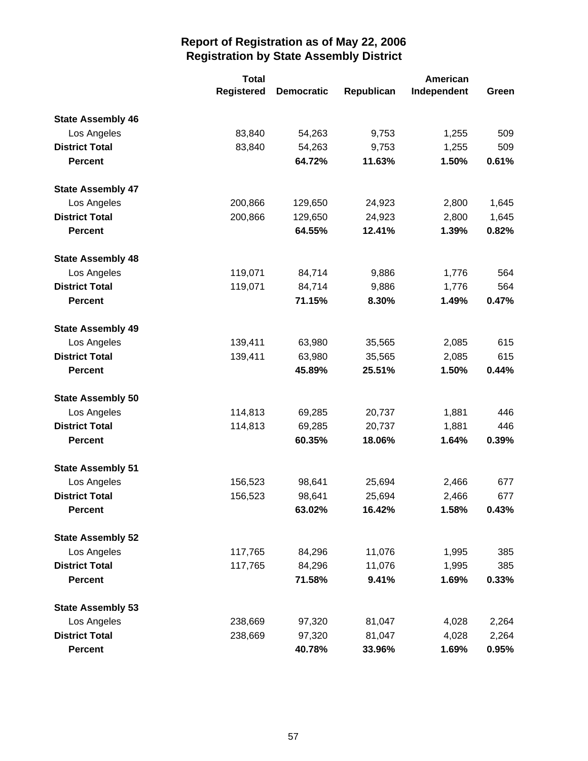|                          | <b>Total</b>      |                   | <b>American</b> |             |       |
|--------------------------|-------------------|-------------------|-----------------|-------------|-------|
|                          | <b>Registered</b> | <b>Democratic</b> | Republican      | Independent | Green |
| <b>State Assembly 46</b> |                   |                   |                 |             |       |
| Los Angeles              | 83,840            | 54,263            | 9,753           | 1,255       | 509   |
| <b>District Total</b>    | 83,840            | 54,263            | 9,753           | 1,255       | 509   |
| <b>Percent</b>           |                   | 64.72%            | 11.63%          | 1.50%       | 0.61% |
| <b>State Assembly 47</b> |                   |                   |                 |             |       |
| Los Angeles              | 200,866           | 129,650           | 24,923          | 2,800       | 1,645 |
| <b>District Total</b>    | 200,866           | 129,650           | 24,923          | 2,800       | 1,645 |
| <b>Percent</b>           |                   | 64.55%            | 12.41%          | 1.39%       | 0.82% |
| <b>State Assembly 48</b> |                   |                   |                 |             |       |
| Los Angeles              | 119,071           | 84,714            | 9,886           | 1,776       | 564   |
| <b>District Total</b>    | 119,071           | 84,714            | 9,886           | 1,776       | 564   |
| <b>Percent</b>           |                   | 71.15%            | 8.30%           | 1.49%       | 0.47% |
| <b>State Assembly 49</b> |                   |                   |                 |             |       |
| Los Angeles              | 139,411           | 63,980            | 35,565          | 2,085       | 615   |
| <b>District Total</b>    | 139,411           | 63,980            | 35,565          | 2,085       | 615   |
| <b>Percent</b>           |                   | 45.89%            | 25.51%          | 1.50%       | 0.44% |
| <b>State Assembly 50</b> |                   |                   |                 |             |       |
| Los Angeles              | 114,813           | 69,285            | 20,737          | 1,881       | 446   |
| <b>District Total</b>    | 114,813           | 69,285            | 20,737          | 1,881       | 446   |
| <b>Percent</b>           |                   | 60.35%            | 18.06%          | 1.64%       | 0.39% |
| <b>State Assembly 51</b> |                   |                   |                 |             |       |
| Los Angeles              | 156,523           | 98,641            | 25,694          | 2,466       | 677   |
| <b>District Total</b>    | 156,523           | 98,641            | 25,694          | 2,466       | 677   |
| <b>Percent</b>           |                   | 63.02%            | 16.42%          | 1.58%       | 0.43% |
| <b>State Assembly 52</b> |                   |                   |                 |             |       |
| Los Angeles              | 117,765           | 84,296            | 11,076          | 1,995       | 385   |
| <b>District Total</b>    | 117,765           | 84,296            | 11,076          | 1,995       | 385   |
| <b>Percent</b>           |                   | 71.58%            | 9.41%           | 1.69%       | 0.33% |
| <b>State Assembly 53</b> |                   |                   |                 |             |       |
| Los Angeles              | 238,669           | 97,320            | 81,047          | 4,028       | 2,264 |
| <b>District Total</b>    | 238,669           | 97,320            | 81,047          | 4,028       | 2,264 |
| <b>Percent</b>           |                   | 40.78%            | 33.96%          | 1.69%       | 0.95% |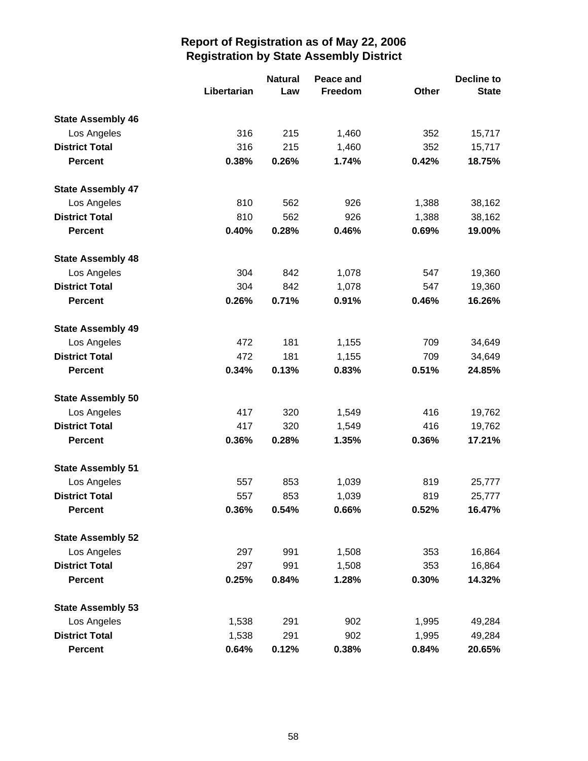|                          |             | <b>Natural</b><br>Peace and |         |       | <b>Decline to</b> |  |
|--------------------------|-------------|-----------------------------|---------|-------|-------------------|--|
|                          | Libertarian | Law                         | Freedom | Other | <b>State</b>      |  |
| <b>State Assembly 46</b> |             |                             |         |       |                   |  |
| Los Angeles              | 316         | 215                         | 1,460   | 352   | 15,717            |  |
| <b>District Total</b>    | 316         | 215                         | 1,460   | 352   | 15,717            |  |
| <b>Percent</b>           | 0.38%       | 0.26%                       | 1.74%   | 0.42% | 18.75%            |  |
| <b>State Assembly 47</b> |             |                             |         |       |                   |  |
| Los Angeles              | 810         | 562                         | 926     | 1,388 | 38,162            |  |
| <b>District Total</b>    | 810         | 562                         | 926     | 1,388 | 38,162            |  |
| <b>Percent</b>           | 0.40%       | 0.28%                       | 0.46%   | 0.69% | 19.00%            |  |
| <b>State Assembly 48</b> |             |                             |         |       |                   |  |
| Los Angeles              | 304         | 842                         | 1,078   | 547   | 19,360            |  |
| <b>District Total</b>    | 304         | 842                         | 1,078   | 547   | 19,360            |  |
| <b>Percent</b>           | 0.26%       | 0.71%                       | 0.91%   | 0.46% | 16.26%            |  |
| <b>State Assembly 49</b> |             |                             |         |       |                   |  |
| Los Angeles              | 472         | 181                         | 1,155   | 709   | 34,649            |  |
| <b>District Total</b>    | 472         | 181                         | 1,155   | 709   | 34,649            |  |
| <b>Percent</b>           | 0.34%       | 0.13%                       | 0.83%   | 0.51% | 24.85%            |  |
| <b>State Assembly 50</b> |             |                             |         |       |                   |  |
| Los Angeles              | 417         | 320                         | 1,549   | 416   | 19,762            |  |
| <b>District Total</b>    | 417         | 320                         | 1,549   | 416   | 19,762            |  |
| <b>Percent</b>           | 0.36%       | 0.28%                       | 1.35%   | 0.36% | 17.21%            |  |
| <b>State Assembly 51</b> |             |                             |         |       |                   |  |
| Los Angeles              | 557         | 853                         | 1,039   | 819   | 25,777            |  |
| <b>District Total</b>    | 557         | 853                         | 1,039   | 819   | 25,777            |  |
| Percent                  | 0.36%       | 0.54%                       | 0.66%   | 0.52% | 16.47%            |  |
| <b>State Assembly 52</b> |             |                             |         |       |                   |  |
| Los Angeles              | 297         | 991                         | 1,508   | 353   | 16,864            |  |
| <b>District Total</b>    | 297         | 991                         | 1,508   | 353   | 16,864            |  |
| <b>Percent</b>           | 0.25%       | 0.84%                       | 1.28%   | 0.30% | 14.32%            |  |
| <b>State Assembly 53</b> |             |                             |         |       |                   |  |
| Los Angeles              | 1,538       | 291                         | 902     | 1,995 | 49,284            |  |
| <b>District Total</b>    | 1,538       | 291                         | 902     | 1,995 | 49,284            |  |
| <b>Percent</b>           | 0.64%       | 0.12%                       | 0.38%   | 0.84% | 20.65%            |  |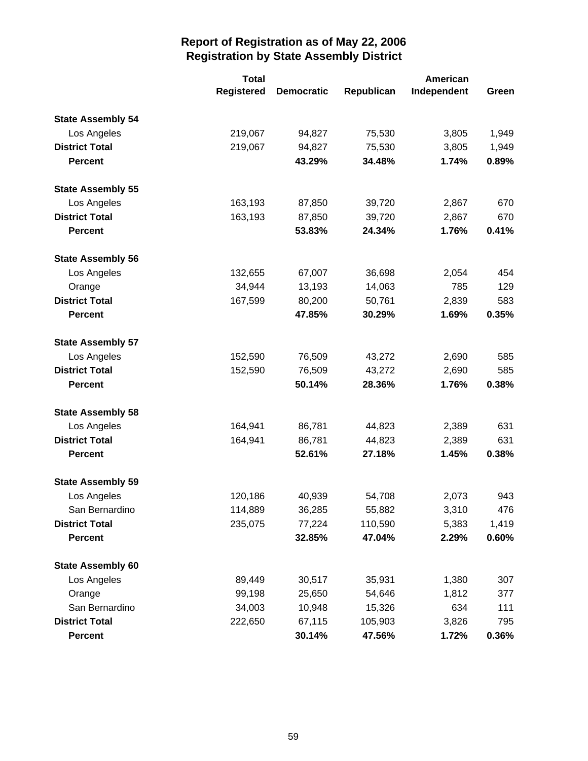|                          | <b>Total</b>      | <b>American</b>   |            |             |       |
|--------------------------|-------------------|-------------------|------------|-------------|-------|
|                          | <b>Registered</b> | <b>Democratic</b> | Republican | Independent | Green |
| <b>State Assembly 54</b> |                   |                   |            |             |       |
| Los Angeles              | 219,067           | 94,827            | 75,530     | 3,805       | 1,949 |
| <b>District Total</b>    | 219,067           | 94,827            | 75,530     | 3,805       | 1,949 |
| <b>Percent</b>           |                   | 43.29%            | 34.48%     | 1.74%       | 0.89% |
| <b>State Assembly 55</b> |                   |                   |            |             |       |
| Los Angeles              | 163,193           | 87,850            | 39,720     | 2,867       | 670   |
| <b>District Total</b>    | 163,193           | 87,850            | 39,720     | 2,867       | 670   |
| <b>Percent</b>           |                   | 53.83%            | 24.34%     | 1.76%       | 0.41% |
| <b>State Assembly 56</b> |                   |                   |            |             |       |
| Los Angeles              | 132,655           | 67,007            | 36,698     | 2,054       | 454   |
| Orange                   | 34,944            | 13,193            | 14,063     | 785         | 129   |
| <b>District Total</b>    | 167,599           | 80,200            | 50,761     | 2,839       | 583   |
| <b>Percent</b>           |                   | 47.85%            | 30.29%     | 1.69%       | 0.35% |
| <b>State Assembly 57</b> |                   |                   |            |             |       |
| Los Angeles              | 152,590           | 76,509            | 43,272     | 2,690       | 585   |
| <b>District Total</b>    | 152,590           | 76,509            | 43,272     | 2,690       | 585   |
| <b>Percent</b>           |                   | 50.14%            | 28.36%     | 1.76%       | 0.38% |
| <b>State Assembly 58</b> |                   |                   |            |             |       |
| Los Angeles              | 164,941           | 86,781            | 44,823     | 2,389       | 631   |
| <b>District Total</b>    | 164,941           | 86,781            | 44,823     | 2,389       | 631   |
| <b>Percent</b>           |                   | 52.61%            | 27.18%     | 1.45%       | 0.38% |
| <b>State Assembly 59</b> |                   |                   |            |             |       |
| Los Angeles              | 120,186           | 40,939            | 54,708     | 2,073       | 943   |
| San Bernardino           | 114,889           | 36,285            | 55,882     | 3,310       | 476   |
| <b>District Total</b>    | 235,075           | 77,224            | 110,590    | 5,383       | 1,419 |
| <b>Percent</b>           |                   | 32.85%            | 47.04%     | 2.29%       | 0.60% |
| <b>State Assembly 60</b> |                   |                   |            |             |       |
| Los Angeles              | 89,449            | 30,517            | 35,931     | 1,380       | 307   |
| Orange                   | 99,198            | 25,650            | 54,646     | 1,812       | 377   |
| San Bernardino           | 34,003            | 10,948            | 15,326     | 634         | 111   |
| <b>District Total</b>    | 222,650           | 67,115            | 105,903    | 3,826       | 795   |
| <b>Percent</b>           |                   | 30.14%            | 47.56%     | 1.72%       | 0.36% |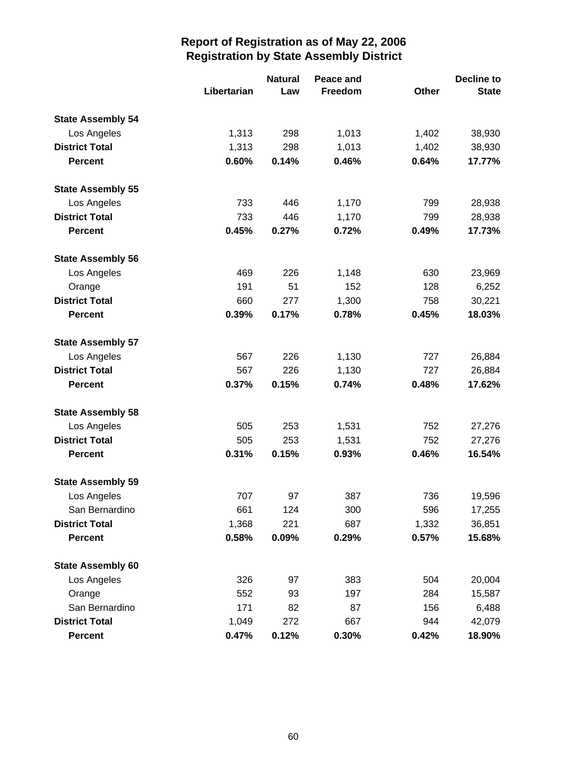|                          |             | <b>Natural</b> | Peace and |              |              |
|--------------------------|-------------|----------------|-----------|--------------|--------------|
|                          | Libertarian | Law            | Freedom   | <b>Other</b> | <b>State</b> |
| <b>State Assembly 54</b> |             |                |           |              |              |
| Los Angeles              | 1,313       | 298            | 1,013     | 1,402        | 38,930       |
| <b>District Total</b>    | 1,313       | 298            | 1,013     | 1,402        | 38,930       |
| <b>Percent</b>           | 0.60%       | 0.14%          | 0.46%     | 0.64%        | 17.77%       |
| <b>State Assembly 55</b> |             |                |           |              |              |
| Los Angeles              | 733         | 446            | 1,170     | 799          | 28,938       |
| <b>District Total</b>    | 733         | 446            | 1,170     | 799          | 28,938       |
| <b>Percent</b>           | 0.45%       | 0.27%          | 0.72%     | 0.49%        | 17.73%       |
| <b>State Assembly 56</b> |             |                |           |              |              |
| Los Angeles              | 469         | 226            | 1,148     | 630          | 23,969       |
| Orange                   | 191         | 51             | 152       | 128          | 6,252        |
| <b>District Total</b>    | 660         | 277            | 1,300     | 758          | 30,221       |
| <b>Percent</b>           | 0.39%       | 0.17%          | 0.78%     | 0.45%        | 18.03%       |
| <b>State Assembly 57</b> |             |                |           |              |              |
| Los Angeles              | 567         | 226            | 1,130     | 727          | 26,884       |
| <b>District Total</b>    | 567         | 226            | 1,130     | 727          | 26,884       |
| <b>Percent</b>           | 0.37%       | 0.15%          | 0.74%     | 0.48%        | 17.62%       |
| <b>State Assembly 58</b> |             |                |           |              |              |
| Los Angeles              | 505         | 253            | 1,531     | 752          | 27,276       |
| <b>District Total</b>    | 505         | 253            | 1,531     | 752          | 27,276       |
| <b>Percent</b>           | 0.31%       | 0.15%          | 0.93%     | 0.46%        | 16.54%       |
| <b>State Assembly 59</b> |             |                |           |              |              |
| Los Angeles              | 707         | 97             | 387       | 736          | 19,596       |
| San Bernardino           | 661         | 124            | 300       | 596          | 17,255       |
| <b>District Total</b>    | 1,368       | 221            | 687       | 1,332        | 36,851       |
| <b>Percent</b>           | 0.58%       | 0.09%          | 0.29%     | 0.57%        | 15.68%       |
| <b>State Assembly 60</b> |             |                |           |              |              |
| Los Angeles              | 326         | 97             | 383       | 504          | 20,004       |
| Orange                   | 552         | 93             | 197       | 284          | 15,587       |
| San Bernardino           | 171         | 82             | 87        | 156          | 6,488        |
| <b>District Total</b>    | 1,049       | 272            | 667       | 944          | 42,079       |
| <b>Percent</b>           | 0.47%       | 0.12%          | 0.30%     | 0.42%        | 18.90%       |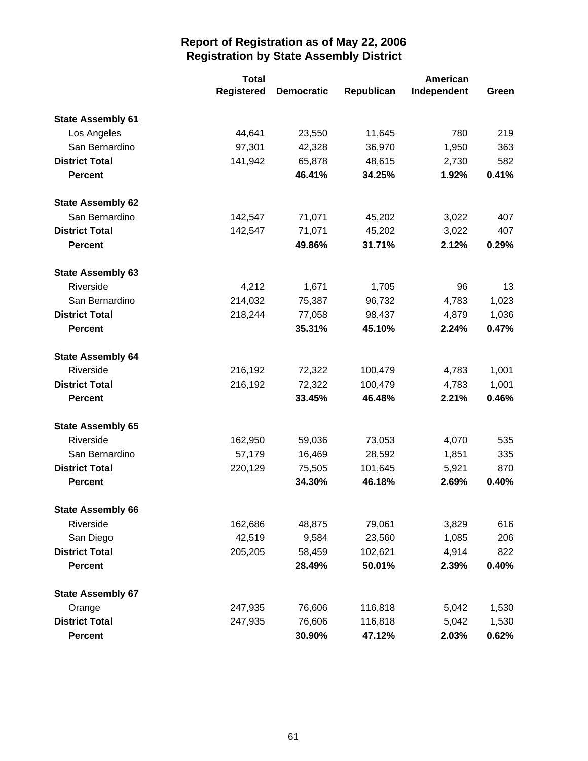|                          | <b>Total</b>      | <b>American</b>   |            |             |       |
|--------------------------|-------------------|-------------------|------------|-------------|-------|
|                          | <b>Registered</b> | <b>Democratic</b> | Republican | Independent | Green |
| <b>State Assembly 61</b> |                   |                   |            |             |       |
| Los Angeles              | 44,641            | 23,550            | 11,645     | 780         | 219   |
| San Bernardino           | 97,301            | 42,328            | 36,970     | 1,950       | 363   |
| <b>District Total</b>    | 141,942           | 65,878            | 48,615     | 2,730       | 582   |
| <b>Percent</b>           |                   | 46.41%            | 34.25%     | 1.92%       | 0.41% |
| <b>State Assembly 62</b> |                   |                   |            |             |       |
| San Bernardino           | 142,547           | 71,071            | 45,202     | 3,022       | 407   |
| <b>District Total</b>    | 142,547           | 71,071            | 45,202     | 3,022       | 407   |
| <b>Percent</b>           |                   | 49.86%            | 31.71%     | 2.12%       | 0.29% |
| <b>State Assembly 63</b> |                   |                   |            |             |       |
| Riverside                | 4,212             | 1,671             | 1,705      | 96          | 13    |
| San Bernardino           | 214,032           | 75,387            | 96,732     | 4,783       | 1,023 |
| <b>District Total</b>    | 218,244           | 77,058            | 98,437     | 4,879       | 1,036 |
| <b>Percent</b>           |                   | 35.31%            | 45.10%     | 2.24%       | 0.47% |
| <b>State Assembly 64</b> |                   |                   |            |             |       |
| Riverside                | 216,192           | 72,322            | 100,479    | 4,783       | 1,001 |
| <b>District Total</b>    | 216,192           | 72,322            | 100,479    | 4,783       | 1,001 |
| <b>Percent</b>           |                   | 33.45%            | 46.48%     | 2.21%       | 0.46% |
| <b>State Assembly 65</b> |                   |                   |            |             |       |
| Riverside                | 162,950           | 59,036            | 73,053     | 4,070       | 535   |
| San Bernardino           | 57,179            | 16,469            | 28,592     | 1,851       | 335   |
| <b>District Total</b>    | 220,129           | 75,505            | 101,645    | 5,921       | 870   |
| <b>Percent</b>           |                   | 34.30%            | 46.18%     | 2.69%       | 0.40% |
| <b>State Assembly 66</b> |                   |                   |            |             |       |
| Riverside                | 162,686           | 48,875            | 79,061     | 3,829       | 616   |
| San Diego                | 42,519            | 9,584             | 23,560     | 1,085       | 206   |
| <b>District Total</b>    | 205,205           | 58,459            | 102,621    | 4,914       | 822   |
| <b>Percent</b>           |                   | 28.49%            | 50.01%     | 2.39%       | 0.40% |
| <b>State Assembly 67</b> |                   |                   |            |             |       |
| Orange                   | 247,935           | 76,606            | 116,818    | 5,042       | 1,530 |
| <b>District Total</b>    | 247,935           | 76,606            | 116,818    | 5,042       | 1,530 |
| <b>Percent</b>           |                   | 30.90%            | 47.12%     | 2.03%       | 0.62% |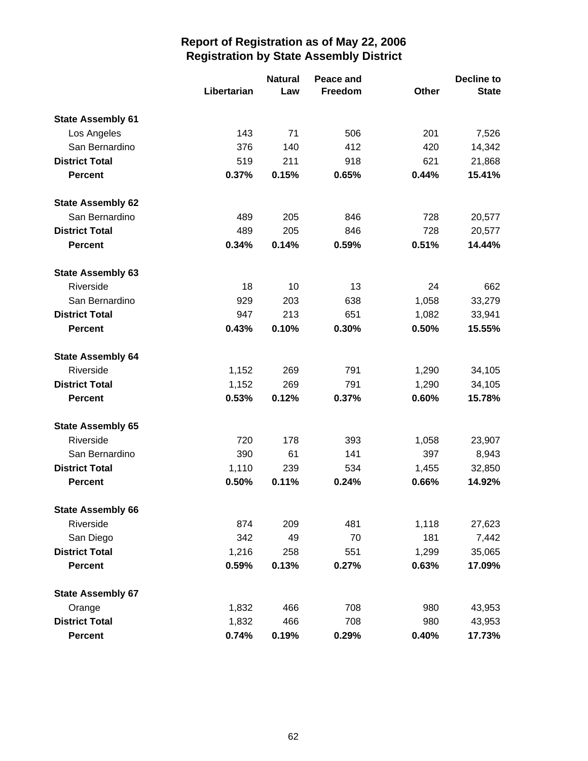|                          |             | <b>Natural</b><br>Peace and |         |       | Decline to   |  |
|--------------------------|-------------|-----------------------------|---------|-------|--------------|--|
|                          | Libertarian | Law                         | Freedom | Other | <b>State</b> |  |
| <b>State Assembly 61</b> |             |                             |         |       |              |  |
| Los Angeles              | 143         | 71                          | 506     | 201   | 7,526        |  |
| San Bernardino           | 376         | 140                         | 412     | 420   | 14,342       |  |
| <b>District Total</b>    | 519         | 211                         | 918     | 621   | 21,868       |  |
| <b>Percent</b>           | 0.37%       | 0.15%                       | 0.65%   | 0.44% | 15.41%       |  |
| <b>State Assembly 62</b> |             |                             |         |       |              |  |
| San Bernardino           | 489         | 205                         | 846     | 728   | 20,577       |  |
| <b>District Total</b>    | 489         | 205                         | 846     | 728   | 20,577       |  |
| <b>Percent</b>           | 0.34%       | 0.14%                       | 0.59%   | 0.51% | 14.44%       |  |
| <b>State Assembly 63</b> |             |                             |         |       |              |  |
| Riverside                | 18          | 10                          | 13      | 24    | 662          |  |
| San Bernardino           | 929         | 203                         | 638     | 1,058 | 33,279       |  |
| <b>District Total</b>    | 947         | 213                         | 651     | 1,082 | 33,941       |  |
| <b>Percent</b>           | 0.43%       | 0.10%                       | 0.30%   | 0.50% | 15.55%       |  |
| <b>State Assembly 64</b> |             |                             |         |       |              |  |
| Riverside                | 1,152       | 269                         | 791     | 1,290 | 34,105       |  |
| <b>District Total</b>    | 1,152       | 269                         | 791     | 1,290 | 34,105       |  |
| <b>Percent</b>           | 0.53%       | 0.12%                       | 0.37%   | 0.60% | 15.78%       |  |
| <b>State Assembly 65</b> |             |                             |         |       |              |  |
| Riverside                | 720         | 178                         | 393     | 1,058 | 23,907       |  |
| San Bernardino           | 390         | 61                          | 141     | 397   | 8,943        |  |
| <b>District Total</b>    | 1,110       | 239                         | 534     | 1,455 | 32,850       |  |
| <b>Percent</b>           | 0.50%       | 0.11%                       | 0.24%   | 0.66% | 14.92%       |  |
| <b>State Assembly 66</b> |             |                             |         |       |              |  |
| Riverside                | 874         | 209                         | 481     | 1,118 | 27,623       |  |
| San Diego                | 342         | 49                          | 70      | 181   | 7,442        |  |
| <b>District Total</b>    | 1,216       | 258                         | 551     | 1,299 | 35,065       |  |
| <b>Percent</b>           | 0.59%       | 0.13%                       | 0.27%   | 0.63% | 17.09%       |  |
| <b>State Assembly 67</b> |             |                             |         |       |              |  |
| Orange                   | 1,832       | 466                         | 708     | 980   | 43,953       |  |
| <b>District Total</b>    | 1,832       | 466                         | 708     | 980   | 43,953       |  |
| <b>Percent</b>           | 0.74%       | 0.19%                       | 0.29%   | 0.40% | 17.73%       |  |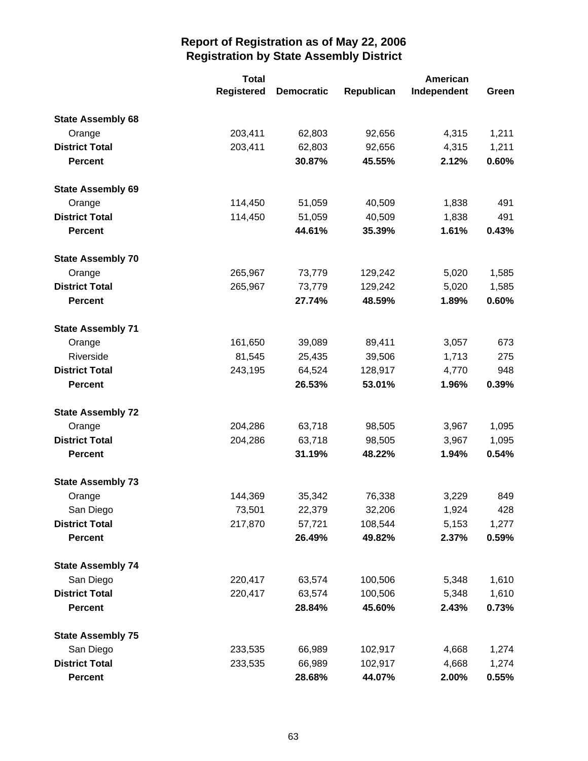|                          | <b>Total</b>      |                   |            | American    |       |
|--------------------------|-------------------|-------------------|------------|-------------|-------|
|                          | <b>Registered</b> | <b>Democratic</b> | Republican | Independent | Green |
| <b>State Assembly 68</b> |                   |                   |            |             |       |
| Orange                   | 203,411           | 62,803            | 92,656     | 4,315       | 1,211 |
| <b>District Total</b>    | 203,411           | 62,803            | 92,656     | 4,315       | 1,211 |
| <b>Percent</b>           |                   | 30.87%            | 45.55%     | 2.12%       | 0.60% |
| <b>State Assembly 69</b> |                   |                   |            |             |       |
| Orange                   | 114,450           | 51,059            | 40,509     | 1,838       | 491   |
| <b>District Total</b>    | 114,450           | 51,059            | 40,509     | 1,838       | 491   |
| <b>Percent</b>           |                   | 44.61%            | 35.39%     | 1.61%       | 0.43% |
| <b>State Assembly 70</b> |                   |                   |            |             |       |
| Orange                   | 265,967           | 73,779            | 129,242    | 5,020       | 1,585 |
| <b>District Total</b>    | 265,967           | 73,779            | 129,242    | 5,020       | 1,585 |
| <b>Percent</b>           |                   | 27.74%            | 48.59%     | 1.89%       | 0.60% |
| <b>State Assembly 71</b> |                   |                   |            |             |       |
| Orange                   | 161,650           | 39,089            | 89,411     | 3,057       | 673   |
| Riverside                | 81,545            | 25,435            | 39,506     | 1,713       | 275   |
| <b>District Total</b>    | 243,195           | 64,524            | 128,917    | 4,770       | 948   |
| <b>Percent</b>           |                   | 26.53%            | 53.01%     | 1.96%       | 0.39% |
| <b>State Assembly 72</b> |                   |                   |            |             |       |
| Orange                   | 204,286           | 63,718            | 98,505     | 3,967       | 1,095 |
| <b>District Total</b>    | 204,286           | 63,718            | 98,505     | 3,967       | 1,095 |
| <b>Percent</b>           |                   | 31.19%            | 48.22%     | 1.94%       | 0.54% |
| <b>State Assembly 73</b> |                   |                   |            |             |       |
| Orange                   | 144,369           | 35,342            | 76,338     | 3,229       | 849   |
| San Diego                | 73,501            | 22,379            | 32,206     | 1,924       | 428   |
| <b>District Total</b>    | 217,870           | 57,721            | 108,544    | 5,153       | 1,277 |
| <b>Percent</b>           |                   | 26.49%            | 49.82%     | 2.37%       | 0.59% |
| <b>State Assembly 74</b> |                   |                   |            |             |       |
| San Diego                | 220,417           | 63,574            | 100,506    | 5,348       | 1,610 |
| <b>District Total</b>    | 220,417           | 63,574            | 100,506    | 5,348       | 1,610 |
| <b>Percent</b>           |                   | 28.84%            | 45.60%     | 2.43%       | 0.73% |
| <b>State Assembly 75</b> |                   |                   |            |             |       |
| San Diego                | 233,535           | 66,989            | 102,917    | 4,668       | 1,274 |
| <b>District Total</b>    | 233,535           | 66,989            | 102,917    | 4,668       | 1,274 |
| <b>Percent</b>           |                   | 28.68%            | 44.07%     | 2.00%       | 0.55% |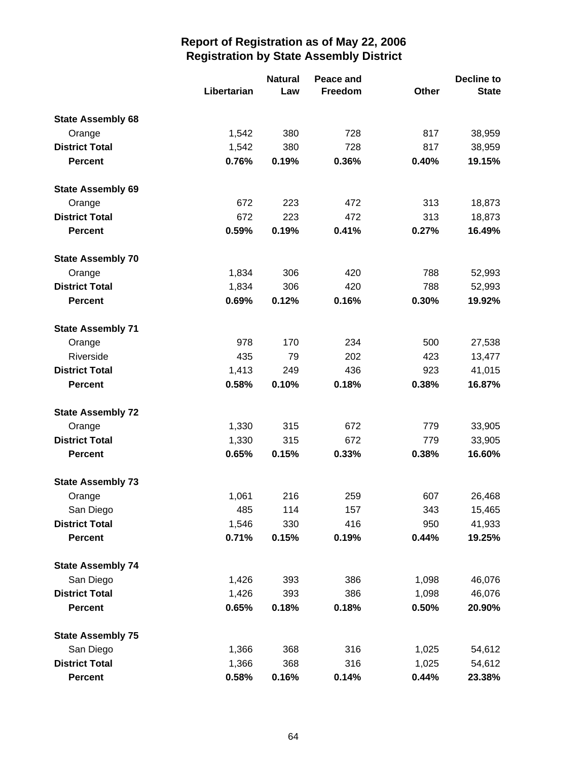|                          |             | <b>Natural</b><br>Peace and |         |       | <b>Decline to</b> |  |
|--------------------------|-------------|-----------------------------|---------|-------|-------------------|--|
|                          | Libertarian | Law                         | Freedom | Other | <b>State</b>      |  |
| <b>State Assembly 68</b> |             |                             |         |       |                   |  |
| Orange                   | 1,542       | 380                         | 728     | 817   | 38,959            |  |
| <b>District Total</b>    | 1,542       | 380                         | 728     | 817   | 38,959            |  |
| <b>Percent</b>           | 0.76%       | 0.19%                       | 0.36%   | 0.40% | 19.15%            |  |
| <b>State Assembly 69</b> |             |                             |         |       |                   |  |
| Orange                   | 672         | 223                         | 472     | 313   | 18,873            |  |
| <b>District Total</b>    | 672         | 223                         | 472     | 313   | 18,873            |  |
| <b>Percent</b>           | 0.59%       | 0.19%                       | 0.41%   | 0.27% | 16.49%            |  |
| <b>State Assembly 70</b> |             |                             |         |       |                   |  |
| Orange                   | 1,834       | 306                         | 420     | 788   | 52,993            |  |
| <b>District Total</b>    | 1,834       | 306                         | 420     | 788   | 52,993            |  |
| <b>Percent</b>           | 0.69%       | 0.12%                       | 0.16%   | 0.30% | 19.92%            |  |
| <b>State Assembly 71</b> |             |                             |         |       |                   |  |
| Orange                   | 978         | 170                         | 234     | 500   | 27,538            |  |
| Riverside                | 435         | 79                          | 202     | 423   | 13,477            |  |
| <b>District Total</b>    | 1,413       | 249                         | 436     | 923   | 41,015            |  |
| <b>Percent</b>           | 0.58%       | 0.10%                       | 0.18%   | 0.38% | 16.87%            |  |
| <b>State Assembly 72</b> |             |                             |         |       |                   |  |
| Orange                   | 1,330       | 315                         | 672     | 779   | 33,905            |  |
| <b>District Total</b>    | 1,330       | 315                         | 672     | 779   | 33,905            |  |
| <b>Percent</b>           | 0.65%       | 0.15%                       | 0.33%   | 0.38% | 16.60%            |  |
| <b>State Assembly 73</b> |             |                             |         |       |                   |  |
| Orange                   | 1,061       | 216                         | 259     | 607   | 26,468            |  |
| San Diego                | 485         | 114                         | 157     | 343   | 15,465            |  |
| <b>District Total</b>    | 1,546       | 330                         | 416     | 950   | 41,933            |  |
| <b>Percent</b>           | 0.71%       | 0.15%                       | 0.19%   | 0.44% | 19.25%            |  |
| <b>State Assembly 74</b> |             |                             |         |       |                   |  |
| San Diego                | 1,426       | 393                         | 386     | 1,098 | 46,076            |  |
| <b>District Total</b>    | 1,426       | 393                         | 386     | 1,098 | 46,076            |  |
| <b>Percent</b>           | 0.65%       | 0.18%                       | 0.18%   | 0.50% | 20.90%            |  |
| <b>State Assembly 75</b> |             |                             |         |       |                   |  |
| San Diego                | 1,366       | 368                         | 316     | 1,025 | 54,612            |  |
| <b>District Total</b>    | 1,366       | 368                         | 316     | 1,025 | 54,612            |  |
| <b>Percent</b>           | 0.58%       | 0.16%                       | 0.14%   | 0.44% | 23.38%            |  |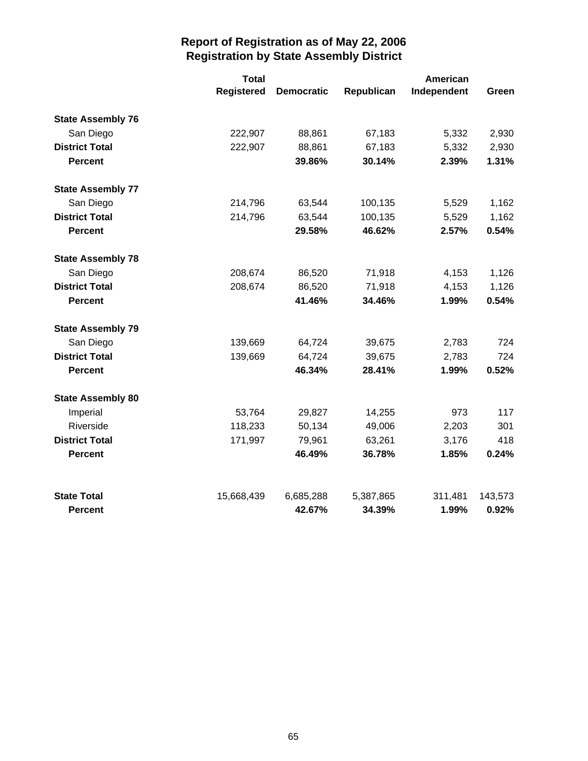|                          | <b>Total</b>      |                   |            | <b>American</b> |         |
|--------------------------|-------------------|-------------------|------------|-----------------|---------|
|                          | <b>Registered</b> | <b>Democratic</b> | Republican | Independent     | Green   |
| <b>State Assembly 76</b> |                   |                   |            |                 |         |
| San Diego                | 222,907           | 88,861            | 67,183     | 5,332           | 2,930   |
| <b>District Total</b>    | 222,907           | 88,861            | 67,183     | 5,332           | 2,930   |
| <b>Percent</b>           |                   | 39.86%            | 30.14%     | 2.39%           | 1.31%   |
| <b>State Assembly 77</b> |                   |                   |            |                 |         |
| San Diego                | 214,796           | 63,544            | 100,135    | 5,529           | 1,162   |
| <b>District Total</b>    | 214,796           | 63,544            | 100,135    | 5,529           | 1,162   |
| <b>Percent</b>           |                   | 29.58%            | 46.62%     | 2.57%           | 0.54%   |
| <b>State Assembly 78</b> |                   |                   |            |                 |         |
| San Diego                | 208,674           | 86,520            | 71,918     | 4,153           | 1,126   |
| <b>District Total</b>    | 208,674           | 86,520            | 71,918     | 4,153           | 1,126   |
| <b>Percent</b>           |                   | 41.46%            | 34.46%     | 1.99%           | 0.54%   |
| <b>State Assembly 79</b> |                   |                   |            |                 |         |
| San Diego                | 139,669           | 64,724            | 39,675     | 2,783           | 724     |
| <b>District Total</b>    | 139,669           | 64,724            | 39,675     | 2,783           | 724     |
| <b>Percent</b>           |                   | 46.34%            | 28.41%     | 1.99%           | 0.52%   |
| <b>State Assembly 80</b> |                   |                   |            |                 |         |
| Imperial                 | 53,764            | 29,827            | 14,255     | 973             | 117     |
| Riverside                | 118,233           | 50,134            | 49,006     | 2,203           | 301     |
| <b>District Total</b>    | 171,997           | 79,961            | 63,261     | 3,176           | 418     |
| <b>Percent</b>           |                   | 46.49%            | 36.78%     | 1.85%           | 0.24%   |
| <b>State Total</b>       | 15,668,439        | 6,685,288         | 5,387,865  | 311,481         | 143,573 |
| <b>Percent</b>           |                   | 42.67%            | 34.39%     | 1.99%           | 0.92%   |